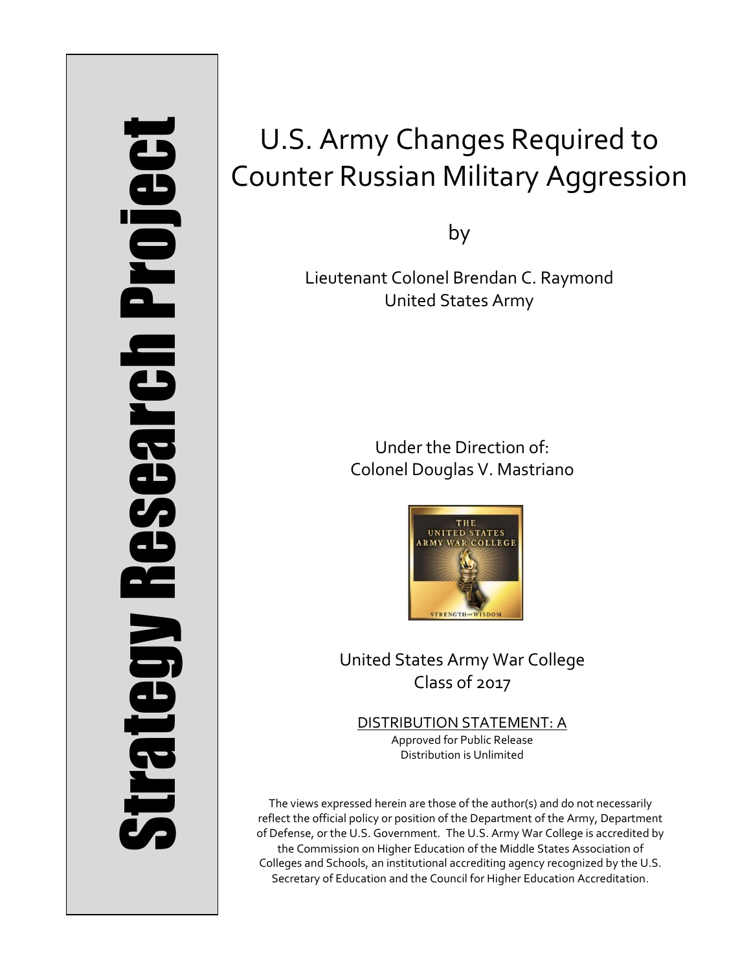# Strategy Research Project **Strategy Research Project**

# U.S. Army Changes Required to Counter Russian Military Aggression

by

Lieutenant Colonel Brendan C. Raymond United States Army

> Under the Direction of: Colonel Douglas V. Mastriano



United States Army War College Class of 2017

DISTRIBUTION STATEMENT: A Approved for Public Release Distribution is Unlimited

The views expressed herein are those of the author(s) and do not necessarily reflect the official policy or position of the Department of the Army, Department of Defense, or the U.S. Government. The U.S. Army War College is accredited by the Commission on Higher Education of the Middle States Association of Colleges and Schools, an institutional accrediting agency recognized by the U.S. Secretary of Education and the Council for Higher Education Accreditation.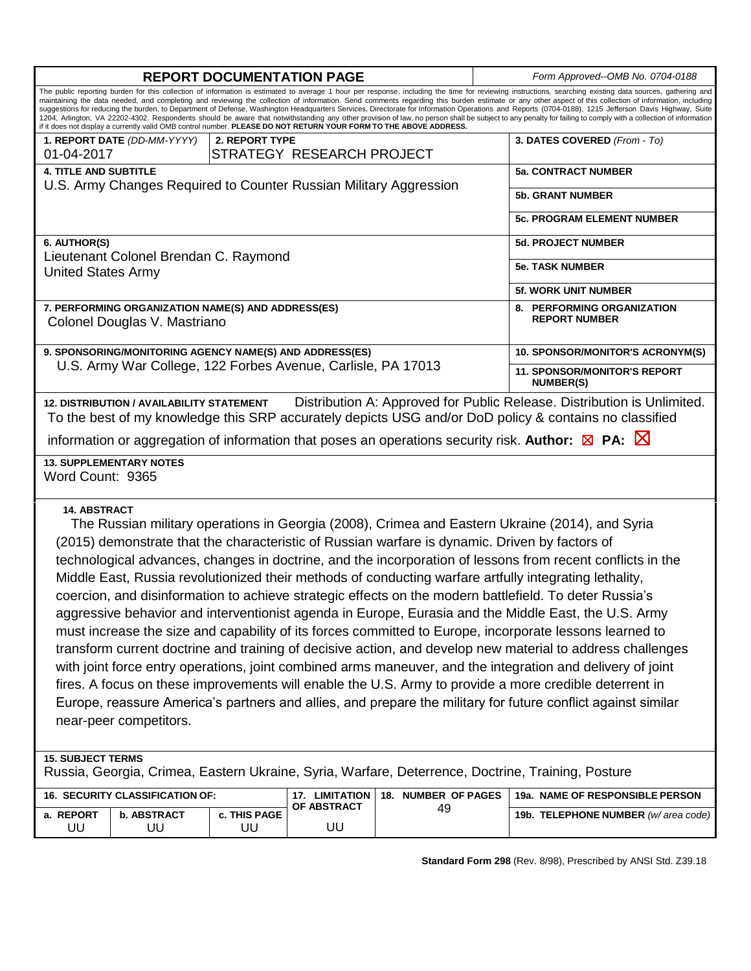| <b>REPORT DOCUMENTATION PAGE</b>                                                                                                                                                                                                                                                                                                                                                                                                                                                                                                                                                                                                                                                                                                                                                                                                                                                                                                                                                                                                                                                                                                                                                                                                                              |                                 |                    |                           |                     |                             | Form Approved--OMB No. 0704-0188                        |
|---------------------------------------------------------------------------------------------------------------------------------------------------------------------------------------------------------------------------------------------------------------------------------------------------------------------------------------------------------------------------------------------------------------------------------------------------------------------------------------------------------------------------------------------------------------------------------------------------------------------------------------------------------------------------------------------------------------------------------------------------------------------------------------------------------------------------------------------------------------------------------------------------------------------------------------------------------------------------------------------------------------------------------------------------------------------------------------------------------------------------------------------------------------------------------------------------------------------------------------------------------------|---------------------------------|--------------------|---------------------------|---------------------|-----------------------------|---------------------------------------------------------|
| The public reporting burden for this collection of information is estimated to average 1 hour per response, including the time for reviewing instructions, searching existing data sources, gathering and<br>maintaining the data needed, and completing and reviewing the collection of information. Send comments regarding this burden estimate or any other aspect of this collection of information, including<br>suggestions for reducing the burden, to Department of Defense, Washington Headquarters Services, Directorate for Information Operations and Reports (0704-0188), 1215 Jefferson Davis Highway, Suite<br>1204, Arlington, VA 22202-4302. Respondents should be aware that notwithstanding any other provision of law, no person shall be subject to any penalty for failing to comply with a collection of information<br>if it does not display a currently valid OMB control number. PLEASE DO NOT RETURN YOUR FORM TO THE ABOVE ADDRESS.                                                                                                                                                                                                                                                                                             |                                 |                    |                           |                     |                             |                                                         |
|                                                                                                                                                                                                                                                                                                                                                                                                                                                                                                                                                                                                                                                                                                                                                                                                                                                                                                                                                                                                                                                                                                                                                                                                                                                               | 1. REPORT DATE (DD-MM-YYYY)     | 2. REPORT TYPE     |                           |                     |                             | 3. DATES COVERED (From - To)                            |
| 01-04-2017                                                                                                                                                                                                                                                                                                                                                                                                                                                                                                                                                                                                                                                                                                                                                                                                                                                                                                                                                                                                                                                                                                                                                                                                                                                    |                                 |                    | STRATEGY RESEARCH PROJECT |                     |                             |                                                         |
| <b>4. TITLE AND SUBTITLE</b><br>U.S. Army Changes Required to Counter Russian Military Aggression                                                                                                                                                                                                                                                                                                                                                                                                                                                                                                                                                                                                                                                                                                                                                                                                                                                                                                                                                                                                                                                                                                                                                             |                                 |                    |                           |                     |                             | <b>5a. CONTRACT NUMBER</b>                              |
|                                                                                                                                                                                                                                                                                                                                                                                                                                                                                                                                                                                                                                                                                                                                                                                                                                                                                                                                                                                                                                                                                                                                                                                                                                                               |                                 |                    |                           |                     |                             | <b>5b. GRANT NUMBER</b>                                 |
|                                                                                                                                                                                                                                                                                                                                                                                                                                                                                                                                                                                                                                                                                                                                                                                                                                                                                                                                                                                                                                                                                                                                                                                                                                                               |                                 |                    |                           |                     |                             | <b>5c. PROGRAM ELEMENT NUMBER</b>                       |
| 6. AUTHOR(S)                                                                                                                                                                                                                                                                                                                                                                                                                                                                                                                                                                                                                                                                                                                                                                                                                                                                                                                                                                                                                                                                                                                                                                                                                                                  |                                 |                    |                           |                     | <b>5d. PROJECT NUMBER</b>   |                                                         |
| Lieutenant Colonel Brendan C. Raymond<br><b>United States Army</b>                                                                                                                                                                                                                                                                                                                                                                                                                                                                                                                                                                                                                                                                                                                                                                                                                                                                                                                                                                                                                                                                                                                                                                                            |                                 |                    |                           |                     |                             | <b>5e. TASK NUMBER</b>                                  |
|                                                                                                                                                                                                                                                                                                                                                                                                                                                                                                                                                                                                                                                                                                                                                                                                                                                                                                                                                                                                                                                                                                                                                                                                                                                               |                                 |                    |                           |                     | <b>5f. WORK UNIT NUMBER</b> |                                                         |
| 7. PERFORMING ORGANIZATION NAME(S) AND ADDRESS(ES)<br>Colonel Douglas V. Mastriano                                                                                                                                                                                                                                                                                                                                                                                                                                                                                                                                                                                                                                                                                                                                                                                                                                                                                                                                                                                                                                                                                                                                                                            |                                 |                    |                           |                     |                             | 8. PERFORMING ORGANIZATION<br><b>REPORT NUMBER</b>      |
| 9. SPONSORING/MONITORING AGENCY NAME(S) AND ADDRESS(ES)                                                                                                                                                                                                                                                                                                                                                                                                                                                                                                                                                                                                                                                                                                                                                                                                                                                                                                                                                                                                                                                                                                                                                                                                       |                                 |                    |                           |                     |                             | 10. SPONSOR/MONITOR'S ACRONYM(S)                        |
| U.S. Army War College, 122 Forbes Avenue, Carlisle, PA 17013                                                                                                                                                                                                                                                                                                                                                                                                                                                                                                                                                                                                                                                                                                                                                                                                                                                                                                                                                                                                                                                                                                                                                                                                  |                                 |                    |                           |                     |                             | <b>11. SPONSOR/MONITOR'S REPORT</b><br><b>NUMBER(S)</b> |
| Distribution A: Approved for Public Release. Distribution is Unlimited.<br>12. DISTRIBUTION / AVAILABILITY STATEMENT<br>To the best of my knowledge this SRP accurately depicts USG and/or DoD policy & contains no classified<br>information or aggregation of information that poses an operations security risk. Author: $\boxtimes$ PA: $\boxtimes$                                                                                                                                                                                                                                                                                                                                                                                                                                                                                                                                                                                                                                                                                                                                                                                                                                                                                                       |                                 |                    |                           |                     |                             |                                                         |
| <b>13. SUPPLEMENTARY NOTES</b><br>Word Count: 9365                                                                                                                                                                                                                                                                                                                                                                                                                                                                                                                                                                                                                                                                                                                                                                                                                                                                                                                                                                                                                                                                                                                                                                                                            |                                 |                    |                           |                     |                             |                                                         |
| <b>14. ABSTRACT</b><br>The Russian military operations in Georgia (2008), Crimea and Eastern Ukraine (2014), and Syria<br>(2015) demonstrate that the characteristic of Russian warfare is dynamic. Driven by factors of<br>technological advances, changes in doctrine, and the incorporation of lessons from recent conflicts in the<br>Middle East, Russia revolutionized their methods of conducting warfare artfully integrating lethality,<br>coercion, and disinformation to achieve strategic effects on the modern battlefield. To deter Russia's<br>aggressive behavior and interventionist agenda in Europe, Eurasia and the Middle East, the U.S. Army<br>must increase the size and capability of its forces committed to Europe, incorporate lessons learned to<br>transform current doctrine and training of decisive action, and develop new material to address challenges<br>with joint force entry operations, joint combined arms maneuver, and the integration and delivery of joint<br>fires. A focus on these improvements will enable the U.S. Army to provide a more credible deterrent in<br>Europe, reassure America's partners and allies, and prepare the military for future conflict against similar<br>near-peer competitors. |                                 |                    |                           |                     |                             |                                                         |
| <b>15. SUBJECT TERMS</b><br>Russia, Georgia, Crimea, Eastern Ukraine, Syria, Warfare, Deterrence, Doctrine, Training, Posture                                                                                                                                                                                                                                                                                                                                                                                                                                                                                                                                                                                                                                                                                                                                                                                                                                                                                                                                                                                                                                                                                                                                 |                                 |                    |                           |                     |                             |                                                         |
|                                                                                                                                                                                                                                                                                                                                                                                                                                                                                                                                                                                                                                                                                                                                                                                                                                                                                                                                                                                                                                                                                                                                                                                                                                                               | 16. SECURITY CLASSIFICATION OF: |                    | 17. LIMITATION            | 18. NUMBER OF PAGES |                             | 19a. NAME OF RESPONSIBLE PERSON                         |
| a. REPORT<br>UU                                                                                                                                                                                                                                                                                                                                                                                                                                                                                                                                                                                                                                                                                                                                                                                                                                                                                                                                                                                                                                                                                                                                                                                                                                               | <b>b. ABSTRACT</b><br>UU        | c. THIS PAGE<br>UU | OF ABSTRACT<br>UU         | 49                  |                             | 19b. TELEPHONE NUMBER (w/area code)                     |

**Standard Form 298** (Rev. 8/98), Prescribed by ANSI Std. Z39.18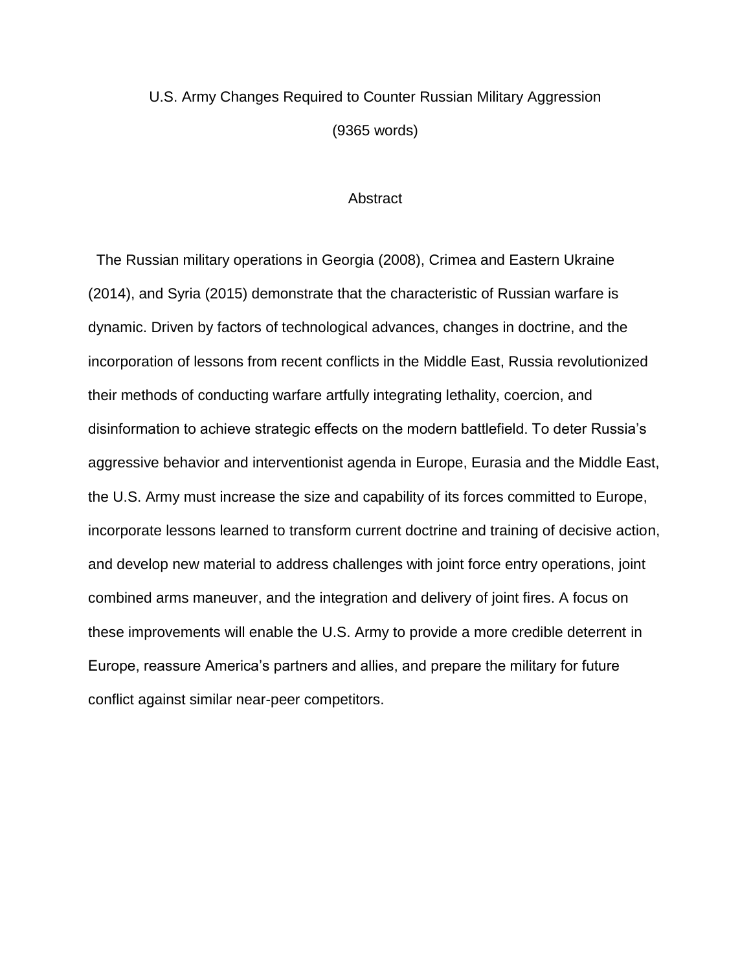## U.S. Army Changes Required to Counter Russian Military Aggression (9365 words)

### **Abstract**

 The Russian military operations in Georgia (2008), Crimea and Eastern Ukraine (2014), and Syria (2015) demonstrate that the characteristic of Russian warfare is dynamic. Driven by factors of technological advances, changes in doctrine, and the incorporation of lessons from recent conflicts in the Middle East, Russia revolutionized their methods of conducting warfare artfully integrating lethality, coercion, and disinformation to achieve strategic effects on the modern battlefield. To deter Russia's aggressive behavior and interventionist agenda in Europe, Eurasia and the Middle East, the U.S. Army must increase the size and capability of its forces committed to Europe, incorporate lessons learned to transform current doctrine and training of decisive action, and develop new material to address challenges with joint force entry operations, joint combined arms maneuver, and the integration and delivery of joint fires. A focus on these improvements will enable the U.S. Army to provide a more credible deterrent in Europe, reassure America's partners and allies, and prepare the military for future conflict against similar near-peer competitors.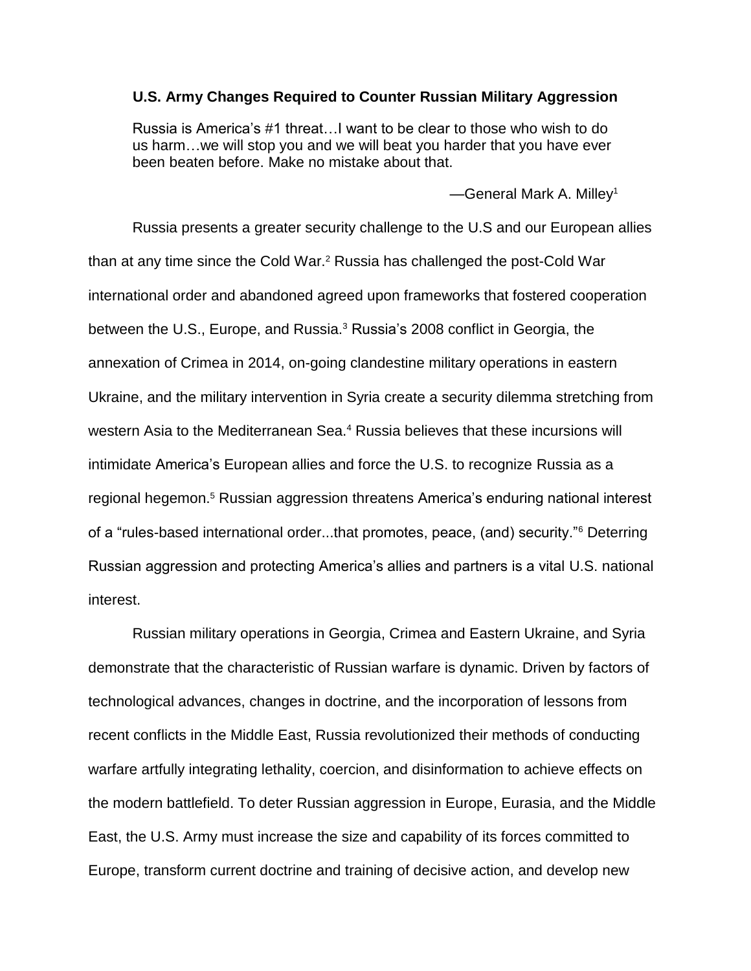### **U.S. Army Changes Required to Counter Russian Military Aggression**

Russia is America's #1 threat…I want to be clear to those who wish to do us harm…we will stop you and we will beat you harder that you have ever been beaten before. Make no mistake about that.

 $-$ General Mark A. Milley<sup>1</sup>

Russia presents a greater security challenge to the U.S and our European allies than at any time since the Cold War.<sup>2</sup> Russia has challenged the post-Cold War international order and abandoned agreed upon frameworks that fostered cooperation between the U.S., Europe, and Russia.<sup>3</sup> Russia's 2008 conflict in Georgia, the annexation of Crimea in 2014, on-going clandestine military operations in eastern Ukraine, and the military intervention in Syria create a security dilemma stretching from western Asia to the Mediterranean Sea.<sup>4</sup> Russia believes that these incursions will intimidate America's European allies and force the U.S. to recognize Russia as a regional hegemon.<sup>5</sup> Russian aggression threatens America's enduring national interest of a "rules-based international order...that promotes, peace, (and) security."<sup>6</sup> Deterring Russian aggression and protecting America's allies and partners is a vital U.S. national interest.

Russian military operations in Georgia, Crimea and Eastern Ukraine, and Syria demonstrate that the characteristic of Russian warfare is dynamic. Driven by factors of technological advances, changes in doctrine, and the incorporation of lessons from recent conflicts in the Middle East, Russia revolutionized their methods of conducting warfare artfully integrating lethality, coercion, and disinformation to achieve effects on the modern battlefield. To deter Russian aggression in Europe, Eurasia, and the Middle East, the U.S. Army must increase the size and capability of its forces committed to Europe, transform current doctrine and training of decisive action, and develop new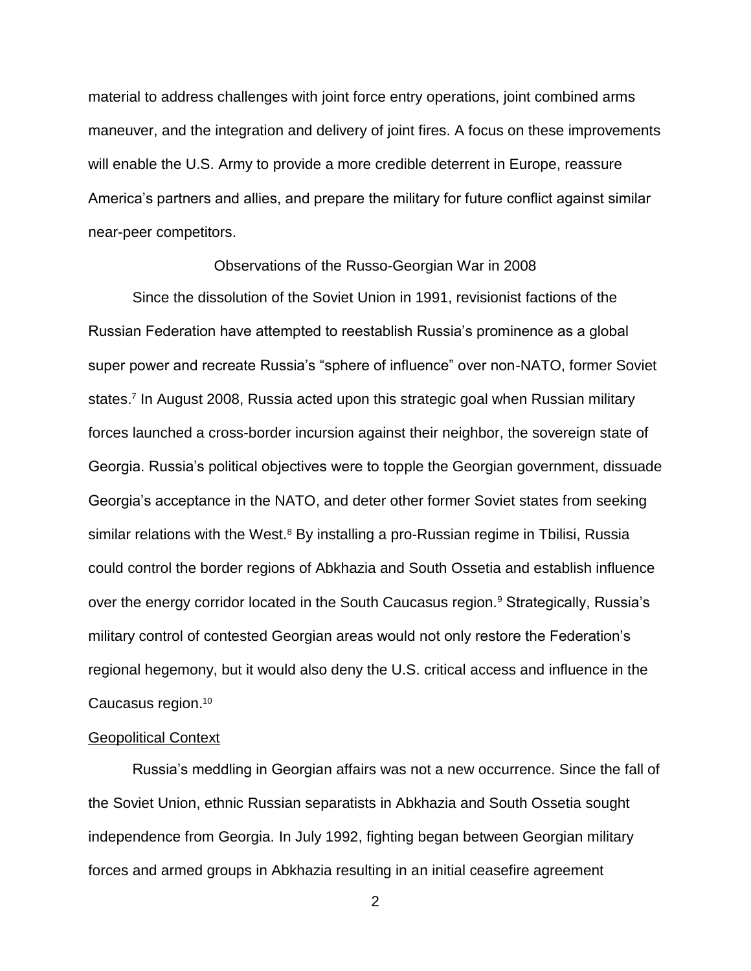material to address challenges with joint force entry operations, joint combined arms maneuver, and the integration and delivery of joint fires. A focus on these improvements will enable the U.S. Army to provide a more credible deterrent in Europe, reassure America's partners and allies, and prepare the military for future conflict against similar near-peer competitors.

### Observations of the Russo-Georgian War in 2008

Since the dissolution of the Soviet Union in 1991, revisionist factions of the Russian Federation have attempted to reestablish Russia's prominence as a global super power and recreate Russia's "sphere of influence" over non-NATO, former Soviet states.<sup>7</sup> In August 2008, Russia acted upon this strategic goal when Russian military forces launched a cross-border incursion against their neighbor, the sovereign state of Georgia. Russia's political objectives were to topple the Georgian government, dissuade Georgia's acceptance in the NATO, and deter other former Soviet states from seeking similar relations with the West. $8$  By installing a pro-Russian regime in Tbilisi, Russia could control the border regions of Abkhazia and South Ossetia and establish influence over the energy corridor located in the South Caucasus region.<sup>9</sup> Strategically, Russia's military control of contested Georgian areas would not only restore the Federation's regional hegemony, but it would also deny the U.S. critical access and influence in the Caucasus region. 10

### Geopolitical Context

Russia's meddling in Georgian affairs was not a new occurrence. Since the fall of the Soviet Union, ethnic Russian separatists in Abkhazia and South Ossetia sought independence from Georgia. In July 1992, fighting began between Georgian military forces and armed groups in Abkhazia resulting in an initial ceasefire agreement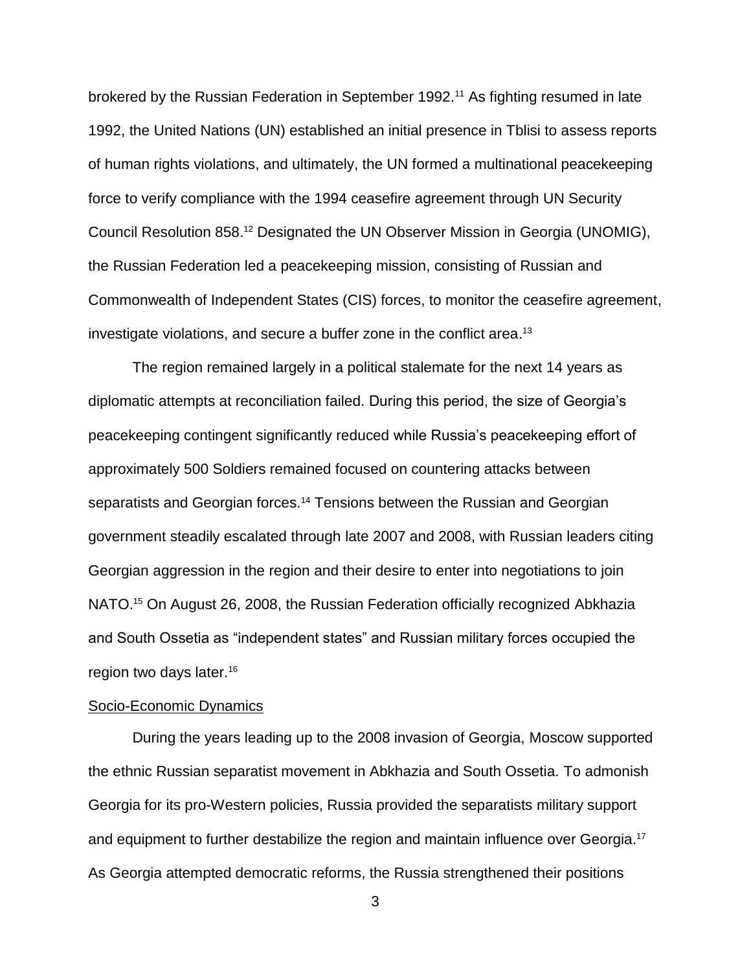brokered by the Russian Federation in September 1992.<sup>11</sup> As fighting resumed in late 1992, the United Nations (UN) established an initial presence in Tblisi to assess reports of human rights violations, and ultimately, the UN formed a multinational peacekeeping force to verify compliance with the 1994 ceasefire agreement through UN Security Council Resolution 858. <sup>12</sup> Designated the UN Observer Mission in Georgia (UNOMIG), the Russian Federation led a peacekeeping mission, consisting of Russian and Commonwealth of Independent States (CIS) forces, to monitor the ceasefire agreement, investigate violations, and secure a buffer zone in the conflict area. 13

The region remained largely in a political stalemate for the next 14 years as diplomatic attempts at reconciliation failed. During this period, the size of Georgia's peacekeeping contingent significantly reduced while Russia's peacekeeping effort of approximately 500 Soldiers remained focused on countering attacks between separatists and Georgian forces.<sup>14</sup> Tensions between the Russian and Georgian government steadily escalated through late 2007 and 2008, with Russian leaders citing Georgian aggression in the region and their desire to enter into negotiations to join NATO.<sup>15</sup> On August 26, 2008, the Russian Federation officially recognized Abkhazia and South Ossetia as "independent states" and Russian military forces occupied the region two days later.<sup>16</sup>

### Socio-Economic Dynamics

During the years leading up to the 2008 invasion of Georgia, Moscow supported the ethnic Russian separatist movement in Abkhazia and South Ossetia. To admonish Georgia for its pro-Western policies, Russia provided the separatists military support and equipment to further destabilize the region and maintain influence over Georgia. 17 As Georgia attempted democratic reforms, the Russia strengthened their positions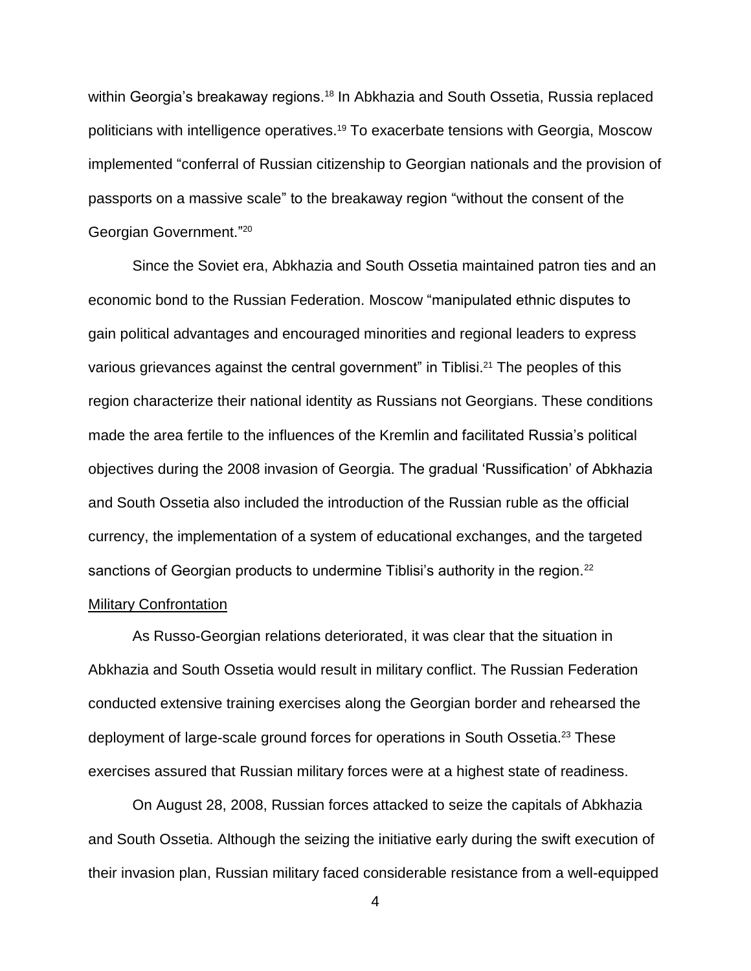within Georgia's breakaway regions.<sup>18</sup> In Abkhazia and South Ossetia, Russia replaced politicians with intelligence operatives. <sup>19</sup> To exacerbate tensions with Georgia, Moscow implemented "conferral of Russian citizenship to Georgian nationals and the provision of passports on a massive scale" to the breakaway region "without the consent of the Georgian Government." 20

Since the Soviet era, Abkhazia and South Ossetia maintained patron ties and an economic bond to the Russian Federation. Moscow "manipulated ethnic disputes to gain political advantages and encouraged minorities and regional leaders to express various grievances against the central government" in Tiblisi.<sup>21</sup> The peoples of this region characterize their national identity as Russians not Georgians. These conditions made the area fertile to the influences of the Kremlin and facilitated Russia's political objectives during the 2008 invasion of Georgia. The gradual 'Russification' of Abkhazia and South Ossetia also included the introduction of the Russian ruble as the official currency, the implementation of a system of educational exchanges, and the targeted sanctions of Georgian products to undermine Tiblisi's authority in the region.<sup>22</sup> Military Confrontation

As Russo-Georgian relations deteriorated, it was clear that the situation in Abkhazia and South Ossetia would result in military conflict. The Russian Federation conducted extensive training exercises along the Georgian border and rehearsed the deployment of large-scale ground forces for operations in South Ossetia. <sup>23</sup> These exercises assured that Russian military forces were at a highest state of readiness.

On August 28, 2008, Russian forces attacked to seize the capitals of Abkhazia and South Ossetia. Although the seizing the initiative early during the swift execution of their invasion plan, Russian military faced considerable resistance from a well-equipped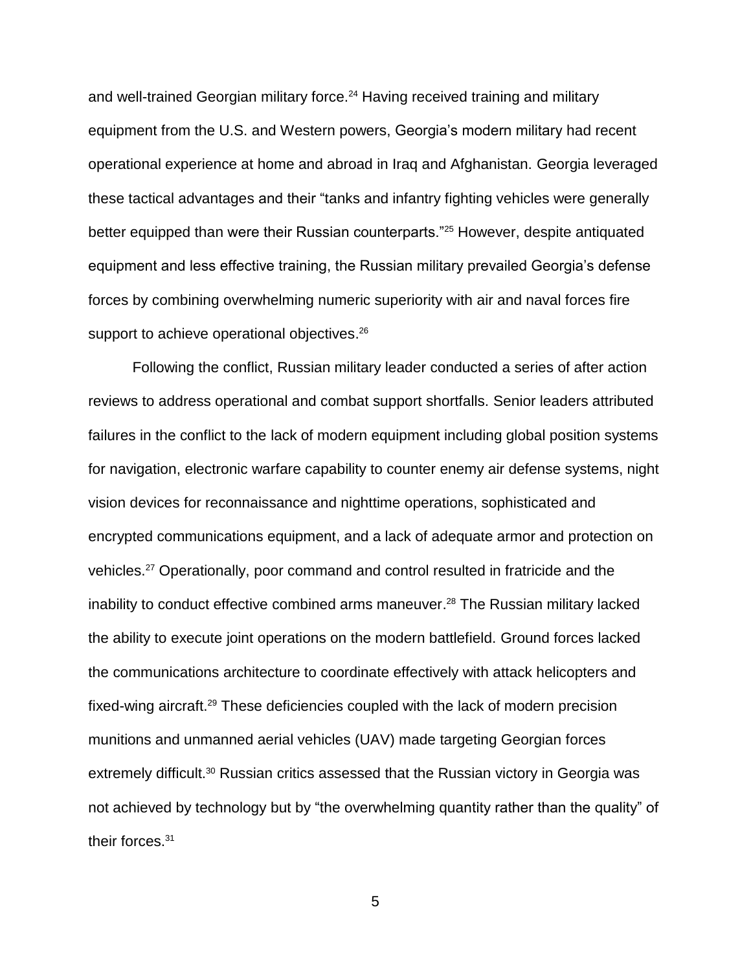and well-trained Georgian military force.<sup>24</sup> Having received training and military equipment from the U.S. and Western powers, Georgia's modern military had recent operational experience at home and abroad in Iraq and Afghanistan. Georgia leveraged these tactical advantages and their "tanks and infantry fighting vehicles were generally better equipped than were their Russian counterparts."<sup>25</sup> However, despite antiquated equipment and less effective training, the Russian military prevailed Georgia's defense forces by combining overwhelming numeric superiority with air and naval forces fire support to achieve operational objectives.<sup>26</sup>

Following the conflict, Russian military leader conducted a series of after action reviews to address operational and combat support shortfalls. Senior leaders attributed failures in the conflict to the lack of modern equipment including global position systems for navigation, electronic warfare capability to counter enemy air defense systems, night vision devices for reconnaissance and nighttime operations, sophisticated and encrypted communications equipment, and a lack of adequate armor and protection on vehicles.<sup>27</sup> Operationally, poor command and control resulted in fratricide and the inability to conduct effective combined arms maneuver. <sup>28</sup> The Russian military lacked the ability to execute joint operations on the modern battlefield. Ground forces lacked the communications architecture to coordinate effectively with attack helicopters and fixed-wing aircraft.<sup>29</sup> These deficiencies coupled with the lack of modern precision munitions and unmanned aerial vehicles (UAV) made targeting Georgian forces extremely difficult.<sup>30</sup> Russian critics assessed that the Russian victory in Georgia was not achieved by technology but by "the overwhelming quantity rather than the quality" of their forces.<sup>31</sup>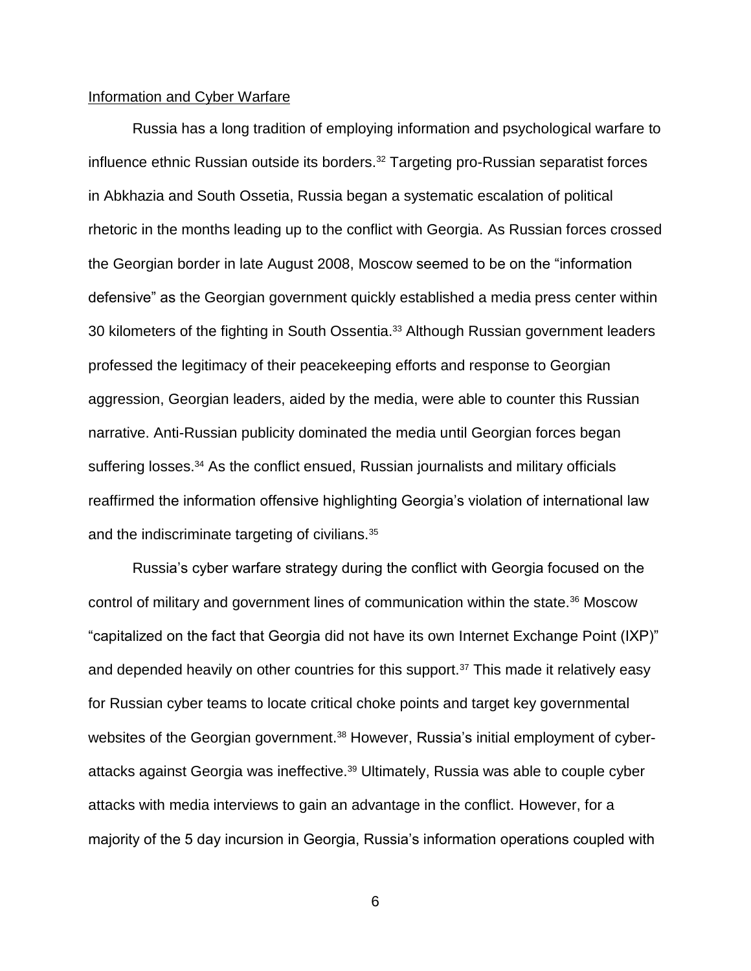### Information and Cyber Warfare

Russia has a long tradition of employing information and psychological warfare to influence ethnic Russian outside its borders.<sup>32</sup> Targeting pro-Russian separatist forces in Abkhazia and South Ossetia, Russia began a systematic escalation of political rhetoric in the months leading up to the conflict with Georgia. As Russian forces crossed the Georgian border in late August 2008, Moscow seemed to be on the "information defensive" as the Georgian government quickly established a media press center within 30 kilometers of the fighting in South Ossentia.<sup>33</sup> Although Russian government leaders professed the legitimacy of their peacekeeping efforts and response to Georgian aggression, Georgian leaders, aided by the media, were able to counter this Russian narrative. Anti-Russian publicity dominated the media until Georgian forces began suffering losses.<sup>34</sup> As the conflict ensued, Russian journalists and military officials reaffirmed the information offensive highlighting Georgia's violation of international law and the indiscriminate targeting of civilians.<sup>35</sup>

Russia's cyber warfare strategy during the conflict with Georgia focused on the control of military and government lines of communication within the state.<sup>36</sup> Moscow "capitalized on the fact that Georgia did not have its own Internet Exchange Point (IXP)" and depended heavily on other countries for this support.<sup>37</sup> This made it relatively easy for Russian cyber teams to locate critical choke points and target key governmental websites of the Georgian government.<sup>38</sup> However, Russia's initial employment of cyberattacks against Georgia was ineffective.<sup>39</sup> Ultimately, Russia was able to couple cyber attacks with media interviews to gain an advantage in the conflict. However, for a majority of the 5 day incursion in Georgia, Russia's information operations coupled with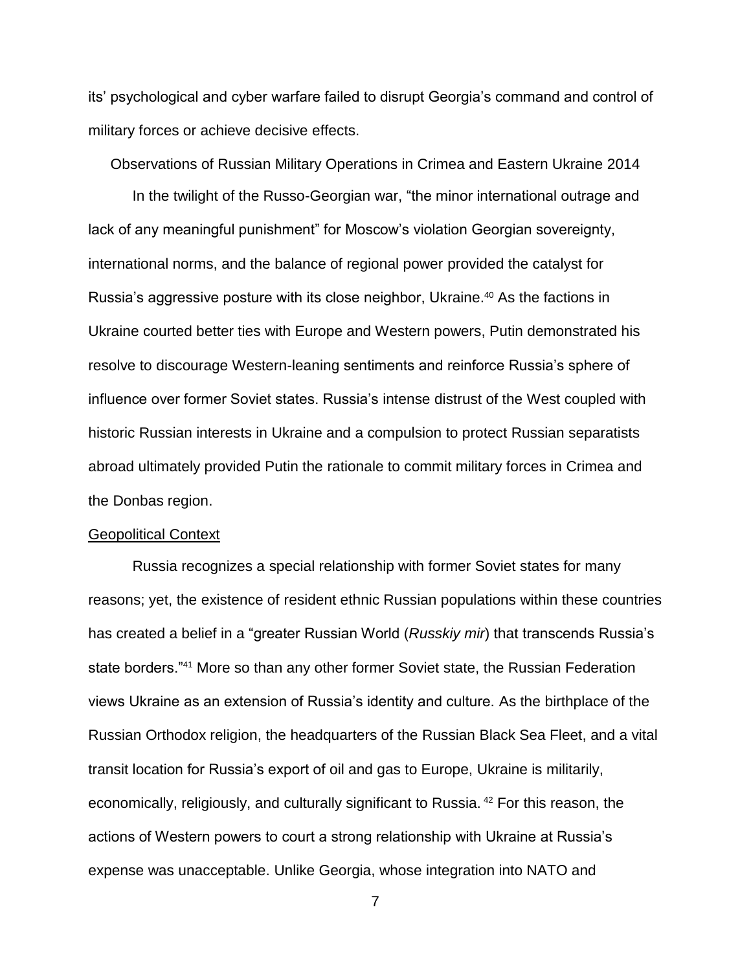its' psychological and cyber warfare failed to disrupt Georgia's command and control of military forces or achieve decisive effects.

Observations of Russian Military Operations in Crimea and Eastern Ukraine 2014

In the twilight of the Russo-Georgian war, "the minor international outrage and lack of any meaningful punishment" for Moscow's violation Georgian sovereignty, international norms, and the balance of regional power provided the catalyst for Russia's aggressive posture with its close neighbor, Ukraine.<sup>40</sup> As the factions in Ukraine courted better ties with Europe and Western powers, Putin demonstrated his resolve to discourage Western-leaning sentiments and reinforce Russia's sphere of influence over former Soviet states. Russia's intense distrust of the West coupled with historic Russian interests in Ukraine and a compulsion to protect Russian separatists abroad ultimately provided Putin the rationale to commit military forces in Crimea and the Donbas region.

### Geopolitical Context

Russia recognizes a special relationship with former Soviet states for many reasons; yet, the existence of resident ethnic Russian populations within these countries has created a belief in a "greater Russian World (*Russkiy mir*) that transcends Russia's state borders."<sup>41</sup> More so than any other former Soviet state, the Russian Federation views Ukraine as an extension of Russia's identity and culture. As the birthplace of the Russian Orthodox religion, the headquarters of the Russian Black Sea Fleet, and a vital transit location for Russia's export of oil and gas to Europe, Ukraine is militarily, economically, religiously, and culturally significant to Russia. <sup>42</sup> For this reason, the actions of Western powers to court a strong relationship with Ukraine at Russia's expense was unacceptable. Unlike Georgia, whose integration into NATO and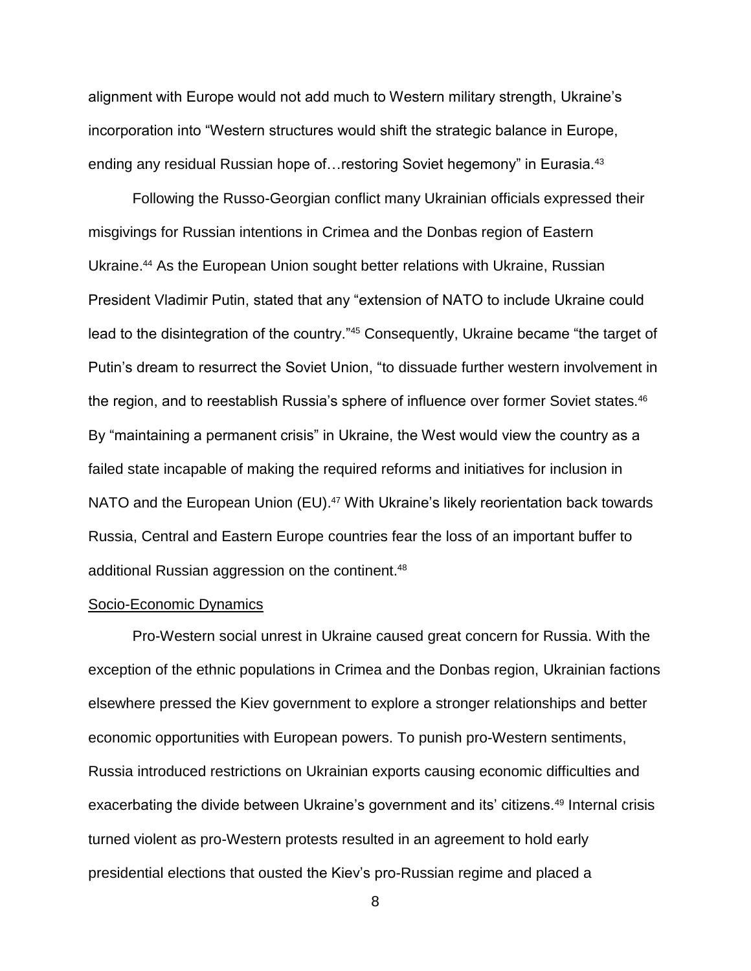alignment with Europe would not add much to Western military strength, Ukraine's incorporation into "Western structures would shift the strategic balance in Europe, ending any residual Russian hope of... restoring Soviet hegemony" in Eurasia.<sup>43</sup>

Following the Russo-Georgian conflict many Ukrainian officials expressed their misgivings for Russian intentions in Crimea and the Donbas region of Eastern Ukraine.<sup>44</sup> As the European Union sought better relations with Ukraine, Russian President Vladimir Putin, stated that any "extension of NATO to include Ukraine could lead to the disintegration of the country."<sup>45</sup> Consequently, Ukraine became "the target of Putin's dream to resurrect the Soviet Union, "to dissuade further western involvement in the region, and to reestablish Russia's sphere of influence over former Soviet states.<sup>46</sup> By "maintaining a permanent crisis" in Ukraine, the West would view the country as a failed state incapable of making the required reforms and initiatives for inclusion in NATO and the European Union (EU).<sup>47</sup> With Ukraine's likely reorientation back towards Russia, Central and Eastern Europe countries fear the loss of an important buffer to additional Russian aggression on the continent.<sup>48</sup>

### Socio-Economic Dynamics

Pro-Western social unrest in Ukraine caused great concern for Russia. With the exception of the ethnic populations in Crimea and the Donbas region, Ukrainian factions elsewhere pressed the Kiev government to explore a stronger relationships and better economic opportunities with European powers. To punish pro-Western sentiments, Russia introduced restrictions on Ukrainian exports causing economic difficulties and exacerbating the divide between Ukraine's government and its' citizens.<sup>49</sup> Internal crisis turned violent as pro-Western protests resulted in an agreement to hold early presidential elections that ousted the Kiev's pro-Russian regime and placed a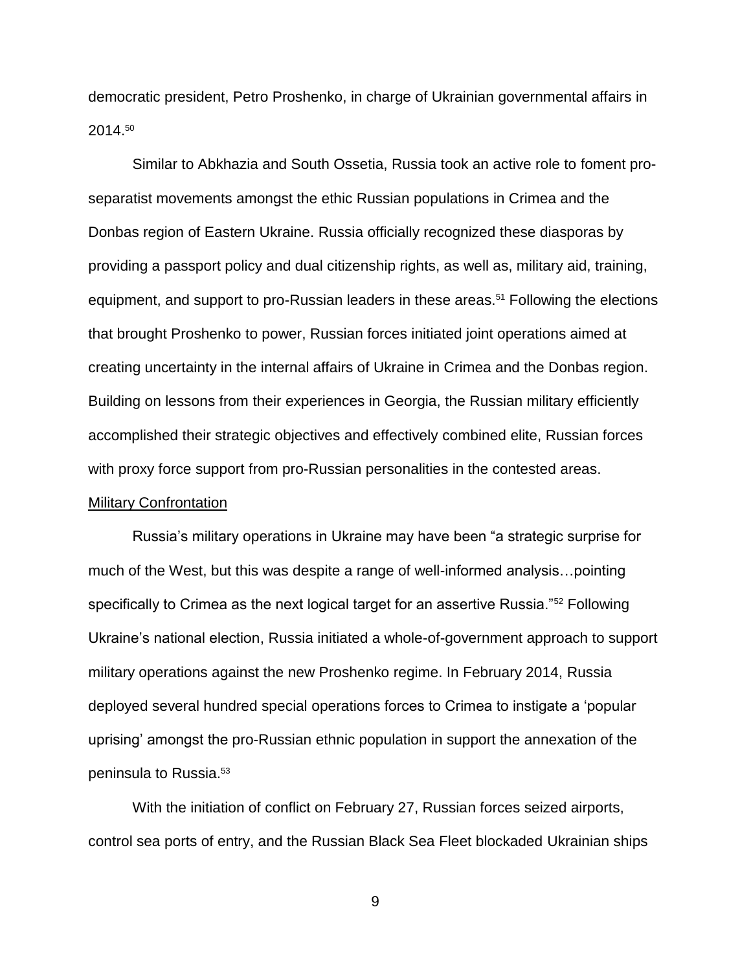democratic president, Petro Proshenko, in charge of Ukrainian governmental affairs in 2014. 50

Similar to Abkhazia and South Ossetia, Russia took an active role to foment proseparatist movements amongst the ethic Russian populations in Crimea and the Donbas region of Eastern Ukraine. Russia officially recognized these diasporas by providing a passport policy and dual citizenship rights, as well as, military aid, training, equipment, and support to pro-Russian leaders in these areas.<sup>51</sup> Following the elections that brought Proshenko to power, Russian forces initiated joint operations aimed at creating uncertainty in the internal affairs of Ukraine in Crimea and the Donbas region. Building on lessons from their experiences in Georgia, the Russian military efficiently accomplished their strategic objectives and effectively combined elite, Russian forces with proxy force support from pro-Russian personalities in the contested areas. Military Confrontation

Russia's military operations in Ukraine may have been "a strategic surprise for much of the West, but this was despite a range of well-informed analysis…pointing specifically to Crimea as the next logical target for an assertive Russia."<sup>52</sup> Following Ukraine's national election, Russia initiated a whole-of-government approach to support military operations against the new Proshenko regime. In February 2014, Russia deployed several hundred special operations forces to Crimea to instigate a 'popular uprising' amongst the pro-Russian ethnic population in support the annexation of the peninsula to Russia.<sup>53</sup>

With the initiation of conflict on February 27, Russian forces seized airports, control sea ports of entry, and the Russian Black Sea Fleet blockaded Ukrainian ships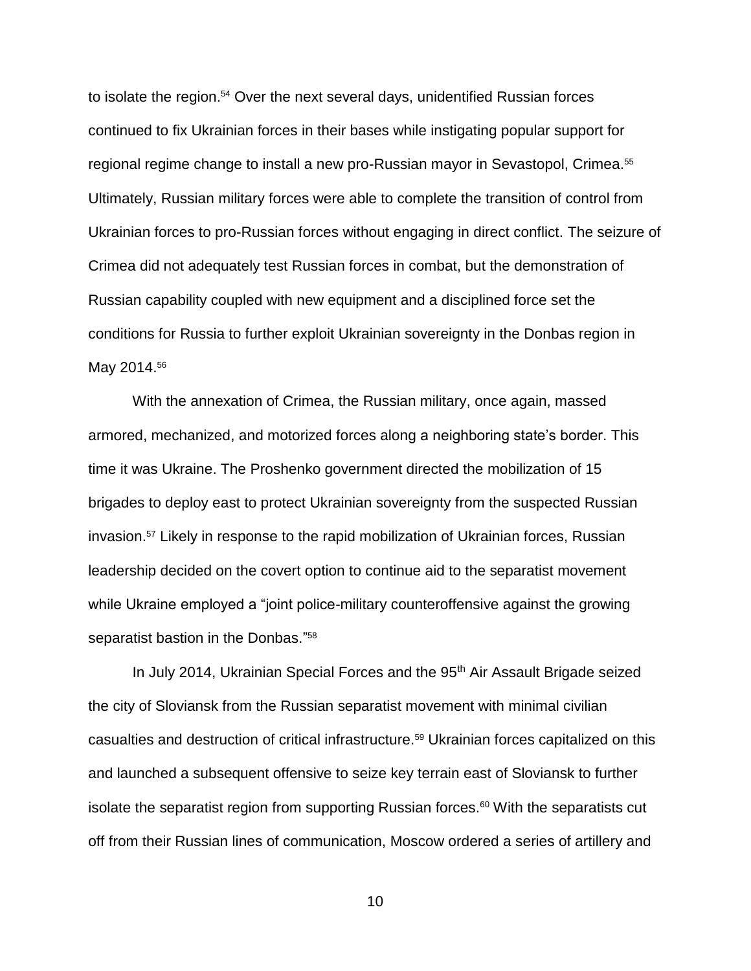to isolate the region.<sup>54</sup> Over the next several days, unidentified Russian forces continued to fix Ukrainian forces in their bases while instigating popular support for regional regime change to install a new pro-Russian mayor in Sevastopol, Crimea.<sup>55</sup> Ultimately, Russian military forces were able to complete the transition of control from Ukrainian forces to pro-Russian forces without engaging in direct conflict. The seizure of Crimea did not adequately test Russian forces in combat, but the demonstration of Russian capability coupled with new equipment and a disciplined force set the conditions for Russia to further exploit Ukrainian sovereignty in the Donbas region in May 2014.<sup>56</sup>

With the annexation of Crimea, the Russian military, once again, massed armored, mechanized, and motorized forces along a neighboring state's border. This time it was Ukraine. The Proshenko government directed the mobilization of 15 brigades to deploy east to protect Ukrainian sovereignty from the suspected Russian invasion.<sup>57</sup> Likely in response to the rapid mobilization of Ukrainian forces, Russian leadership decided on the covert option to continue aid to the separatist movement while Ukraine employed a "joint police-military counteroffensive against the growing separatist bastion in the Donbas." 58

In July 2014, Ukrainian Special Forces and the 95<sup>th</sup> Air Assault Brigade seized the city of Sloviansk from the Russian separatist movement with minimal civilian casualties and destruction of critical infrastructure.<sup>59</sup> Ukrainian forces capitalized on this and launched a subsequent offensive to seize key terrain east of Sloviansk to further isolate the separatist region from supporting Russian forces.<sup>60</sup> With the separatists cut off from their Russian lines of communication, Moscow ordered a series of artillery and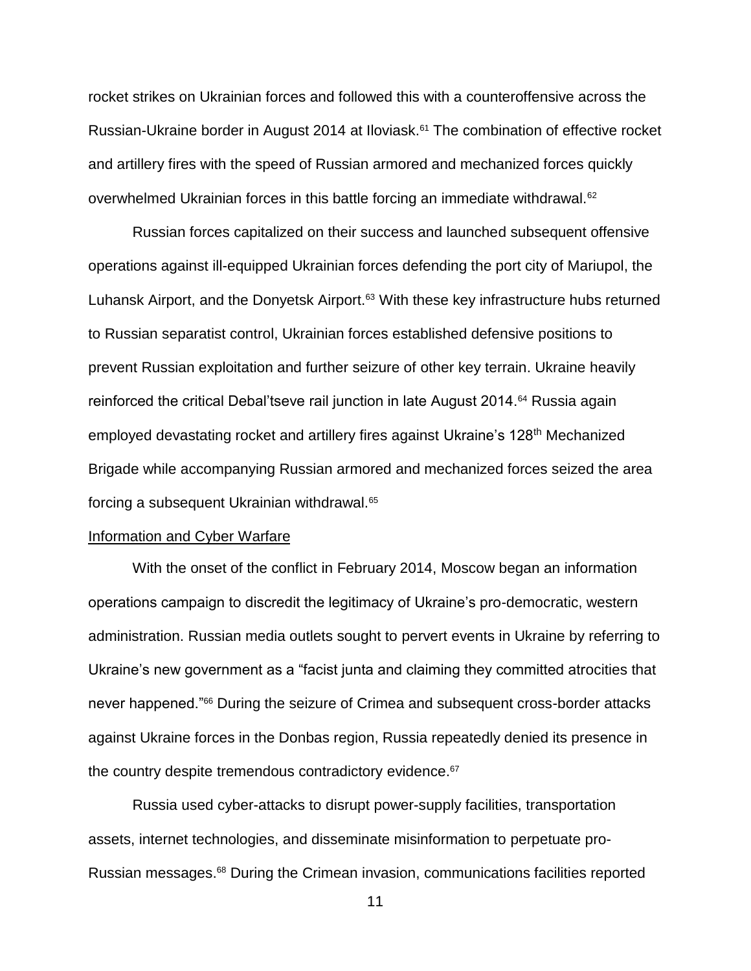rocket strikes on Ukrainian forces and followed this with a counteroffensive across the Russian-Ukraine border in August 2014 at Iloviask. <sup>61</sup> The combination of effective rocket and artillery fires with the speed of Russian armored and mechanized forces quickly overwhelmed Ukrainian forces in this battle forcing an immediate withdrawal.<sup>62</sup>

Russian forces capitalized on their success and launched subsequent offensive operations against ill-equipped Ukrainian forces defending the port city of Mariupol, the Luhansk Airport, and the Donyetsk Airport.<sup>63</sup> With these key infrastructure hubs returned to Russian separatist control, Ukrainian forces established defensive positions to prevent Russian exploitation and further seizure of other key terrain. Ukraine heavily reinforced the critical Debal'tseve rail junction in late August 2014.<sup>64</sup> Russia again employed devastating rocket and artillery fires against Ukraine's 128<sup>th</sup> Mechanized Brigade while accompanying Russian armored and mechanized forces seized the area forcing a subsequent Ukrainian withdrawal.<sup>65</sup>

### Information and Cyber Warfare

With the onset of the conflict in February 2014, Moscow began an information operations campaign to discredit the legitimacy of Ukraine's pro-democratic, western administration. Russian media outlets sought to pervert events in Ukraine by referring to Ukraine's new government as a "facist junta and claiming they committed atrocities that never happened."<sup>66</sup> During the seizure of Crimea and subsequent cross-border attacks against Ukraine forces in the Donbas region, Russia repeatedly denied its presence in the country despite tremendous contradictory evidence.<sup>67</sup>

Russia used cyber-attacks to disrupt power-supply facilities, transportation assets, internet technologies, and disseminate misinformation to perpetuate pro-Russian messages.<sup>68</sup> During the Crimean invasion, communications facilities reported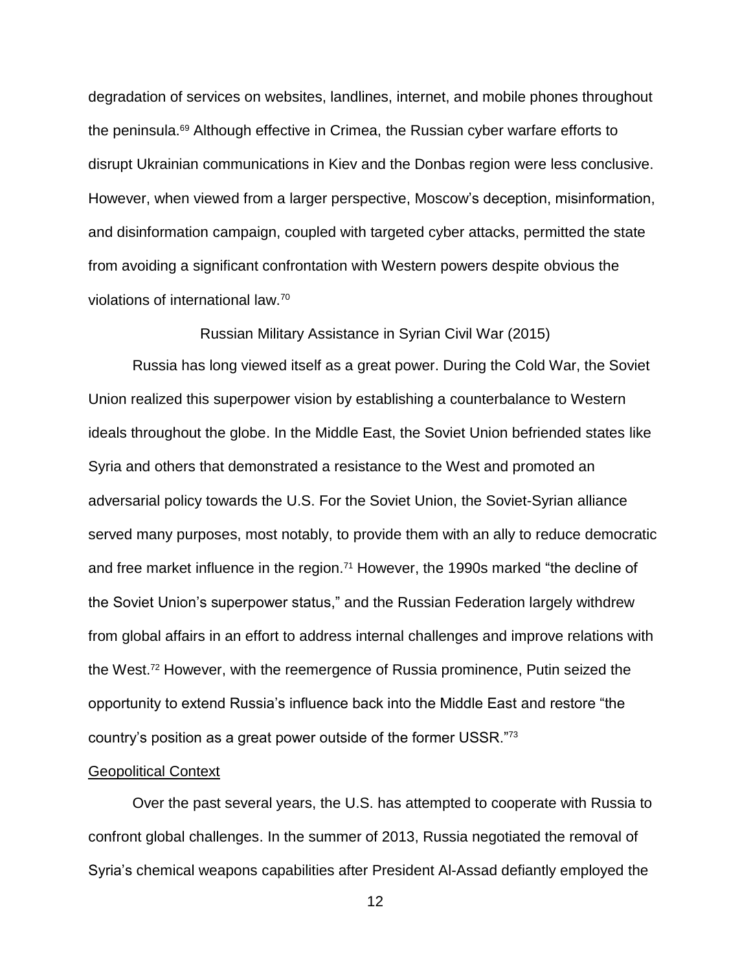degradation of services on websites, landlines, internet, and mobile phones throughout the peninsula.<sup>69</sup> Although effective in Crimea, the Russian cyber warfare efforts to disrupt Ukrainian communications in Kiev and the Donbas region were less conclusive. However, when viewed from a larger perspective, Moscow's deception, misinformation, and disinformation campaign, coupled with targeted cyber attacks, permitted the state from avoiding a significant confrontation with Western powers despite obvious the violations of international law.<sup>70</sup>

Russian Military Assistance in Syrian Civil War (2015)

Russia has long viewed itself as a great power. During the Cold War, the Soviet Union realized this superpower vision by establishing a counterbalance to Western ideals throughout the globe. In the Middle East, the Soviet Union befriended states like Syria and others that demonstrated a resistance to the West and promoted an adversarial policy towards the U.S. For the Soviet Union, the Soviet-Syrian alliance served many purposes, most notably, to provide them with an ally to reduce democratic and free market influence in the region.<sup>71</sup> However, the 1990s marked "the decline of the Soviet Union's superpower status," and the Russian Federation largely withdrew from global affairs in an effort to address internal challenges and improve relations with the West.<sup>72</sup> However, with the reemergence of Russia prominence, Putin seized the opportunity to extend Russia's influence back into the Middle East and restore "the country's position as a great power outside of the former USSR."<sup>73</sup>

### Geopolitical Context

Over the past several years, the U.S. has attempted to cooperate with Russia to confront global challenges. In the summer of 2013, Russia negotiated the removal of Syria's chemical weapons capabilities after President Al-Assad defiantly employed the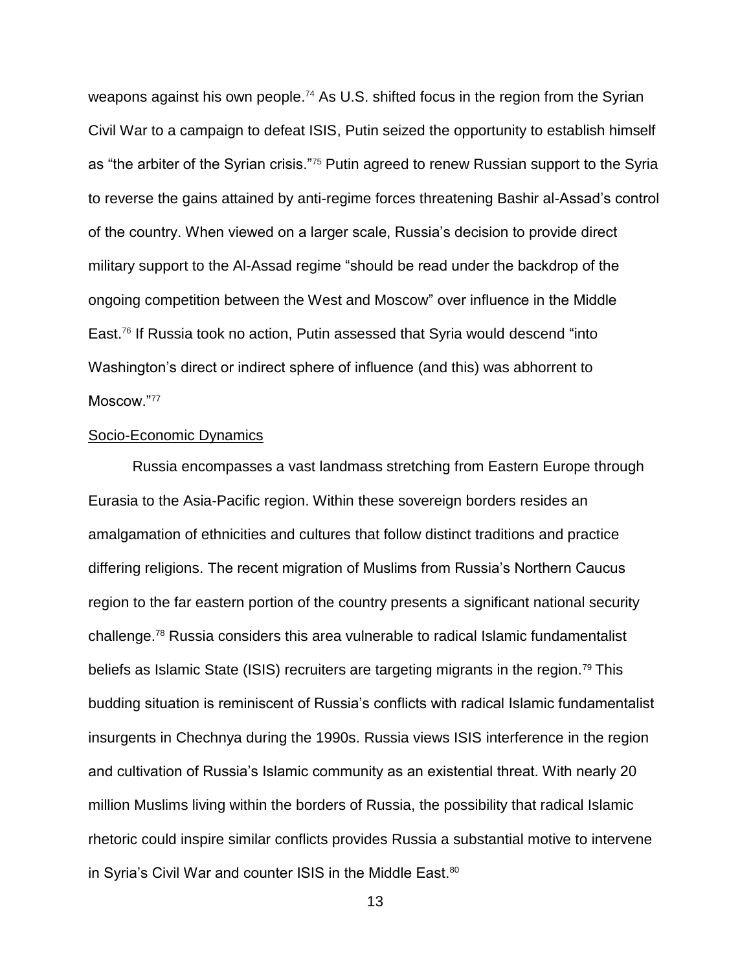weapons against his own people.<sup>74</sup> As U.S. shifted focus in the region from the Syrian Civil War to a campaign to defeat ISIS, Putin seized the opportunity to establish himself as "the arbiter of the Syrian crisis."<sup>75</sup> Putin agreed to renew Russian support to the Syria to reverse the gains attained by anti-regime forces threatening Bashir al-Assad's control of the country. When viewed on a larger scale, Russia's decision to provide direct military support to the Al-Assad regime "should be read under the backdrop of the ongoing competition between the West and Moscow" over influence in the Middle East. <sup>76</sup> If Russia took no action, Putin assessed that Syria would descend "into Washington's direct or indirect sphere of influence (and this) was abhorrent to Moscow."77

### Socio-Economic Dynamics

Russia encompasses a vast landmass stretching from Eastern Europe through Eurasia to the Asia-Pacific region. Within these sovereign borders resides an amalgamation of ethnicities and cultures that follow distinct traditions and practice differing religions. The recent migration of Muslims from Russia's Northern Caucus region to the far eastern portion of the country presents a significant national security challenge.<sup>78</sup> Russia considers this area vulnerable to radical Islamic fundamentalist beliefs as Islamic State (ISIS) recruiters are targeting migrants in the region.<sup>79</sup> This budding situation is reminiscent of Russia's conflicts with radical Islamic fundamentalist insurgents in Chechnya during the 1990s. Russia views ISIS interference in the region and cultivation of Russia's Islamic community as an existential threat. With nearly 20 million Muslims living within the borders of Russia, the possibility that radical Islamic rhetoric could inspire similar conflicts provides Russia a substantial motive to intervene in Syria's Civil War and counter ISIS in the Middle East.<sup>80</sup>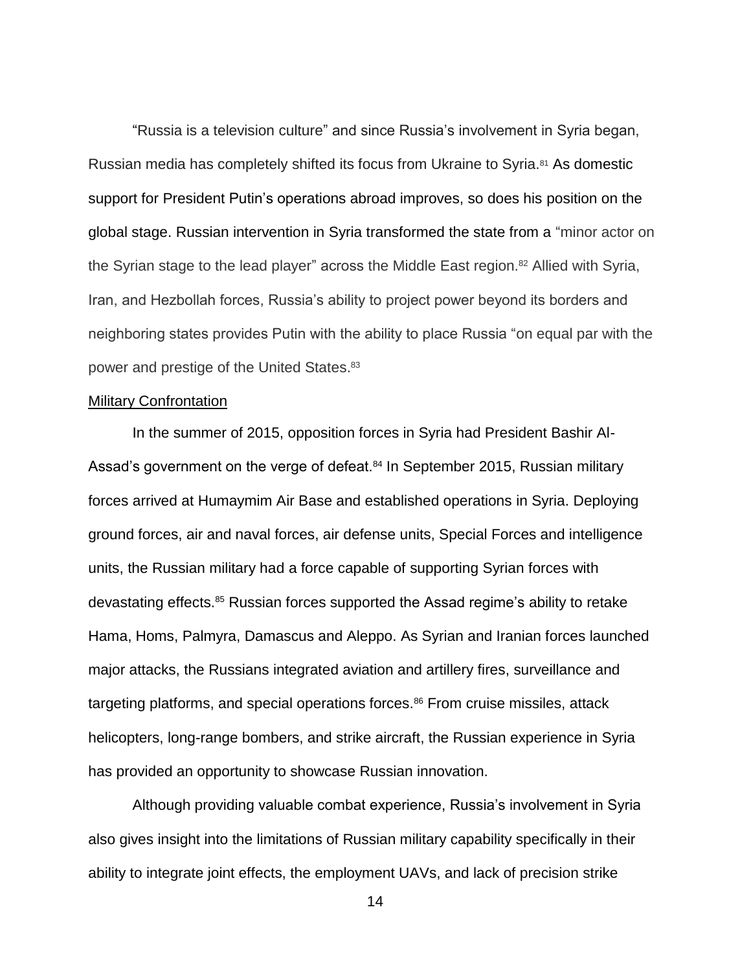"Russia is a television culture" and since Russia's involvement in Syria began, Russian media has completely shifted its focus from Ukraine to Syria.<sup>81</sup> As domestic support for President Putin's operations abroad improves, so does his position on the global stage. Russian intervention in Syria transformed the state from a "minor actor on the Syrian stage to the lead player" across the Middle East region.<sup>82</sup> Allied with Syria, Iran, and Hezbollah forces, Russia's ability to project power beyond its borders and neighboring states provides Putin with the ability to place Russia "on equal par with the power and prestige of the United States.<sup>83</sup>

### Military Confrontation

In the summer of 2015, opposition forces in Syria had President Bashir Al-Assad's government on the verge of defeat.<sup>84</sup> In September 2015, Russian military forces arrived at Humaymim Air Base and established operations in Syria. Deploying ground forces, air and naval forces, air defense units, Special Forces and intelligence units, the Russian military had a force capable of supporting Syrian forces with devastating effects.<sup>85</sup> Russian forces supported the Assad regime's ability to retake Hama, Homs, Palmyra, Damascus and Aleppo. As Syrian and Iranian forces launched major attacks, the Russians integrated aviation and artillery fires, surveillance and targeting platforms, and special operations forces.<sup>86</sup> From cruise missiles, attack helicopters, long-range bombers, and strike aircraft, the Russian experience in Syria has provided an opportunity to showcase Russian innovation.

Although providing valuable combat experience, Russia's involvement in Syria also gives insight into the limitations of Russian military capability specifically in their ability to integrate joint effects, the employment UAVs, and lack of precision strike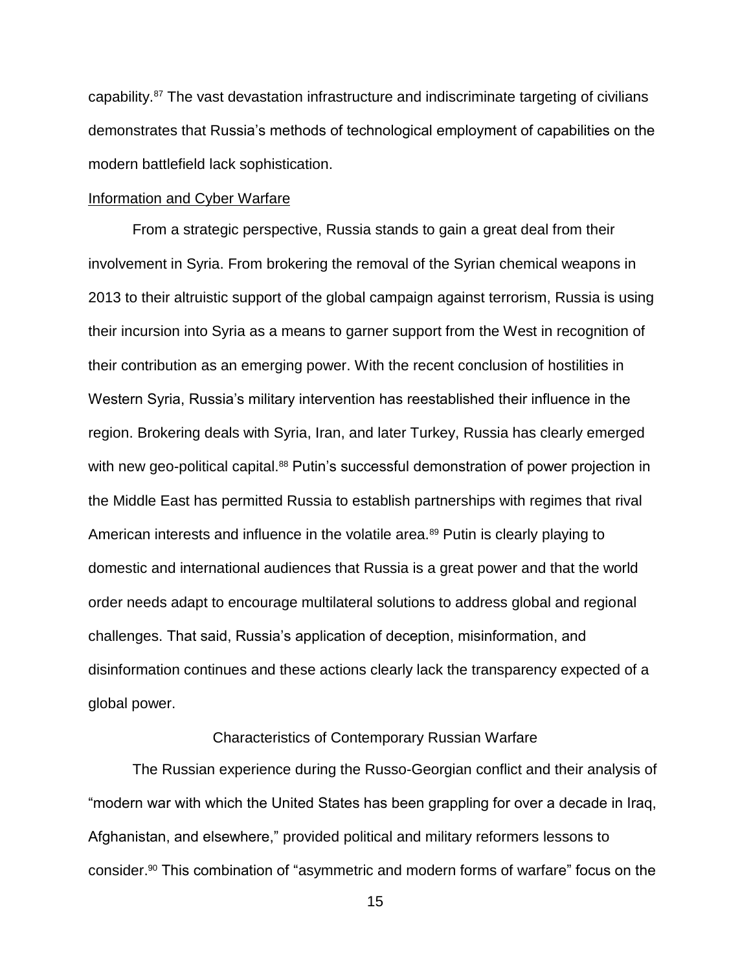capability.<sup>87</sup> The vast devastation infrastructure and indiscriminate targeting of civilians demonstrates that Russia's methods of technological employment of capabilities on the modern battlefield lack sophistication.

### Information and Cyber Warfare

From a strategic perspective, Russia stands to gain a great deal from their involvement in Syria. From brokering the removal of the Syrian chemical weapons in 2013 to their altruistic support of the global campaign against terrorism, Russia is using their incursion into Syria as a means to garner support from the West in recognition of their contribution as an emerging power. With the recent conclusion of hostilities in Western Syria, Russia's military intervention has reestablished their influence in the region. Brokering deals with Syria, Iran, and later Turkey, Russia has clearly emerged with new geo-political capital.<sup>88</sup> Putin's successful demonstration of power projection in the Middle East has permitted Russia to establish partnerships with regimes that rival American interests and influence in the volatile area.<sup>89</sup> Putin is clearly playing to domestic and international audiences that Russia is a great power and that the world order needs adapt to encourage multilateral solutions to address global and regional challenges. That said, Russia's application of deception, misinformation, and disinformation continues and these actions clearly lack the transparency expected of a global power.

### Characteristics of Contemporary Russian Warfare

The Russian experience during the Russo-Georgian conflict and their analysis of "modern war with which the United States has been grappling for over a decade in Iraq, Afghanistan, and elsewhere," provided political and military reformers lessons to consider.<sup>90</sup> This combination of "asymmetric and modern forms of warfare" focus on the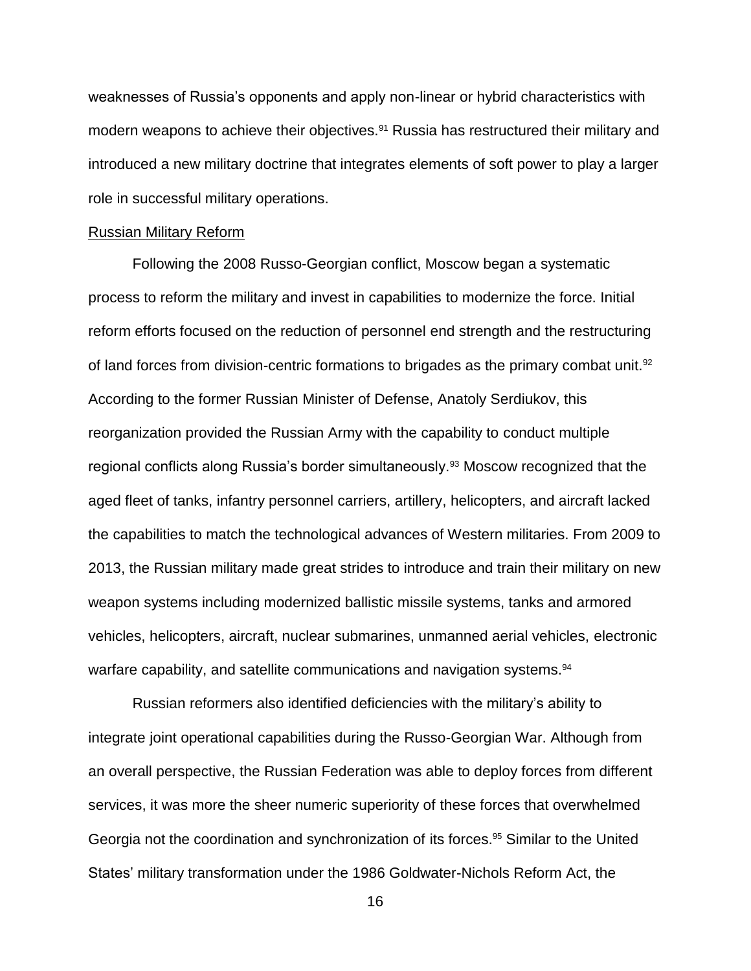weaknesses of Russia's opponents and apply non-linear or hybrid characteristics with modern weapons to achieve their objectives.<sup>91</sup> Russia has restructured their military and introduced a new military doctrine that integrates elements of soft power to play a larger role in successful military operations.

### Russian Military Reform

Following the 2008 Russo-Georgian conflict, Moscow began a systematic process to reform the military and invest in capabilities to modernize the force. Initial reform efforts focused on the reduction of personnel end strength and the restructuring of land forces from division-centric formations to brigades as the primary combat unit.<sup>92</sup> According to the former Russian Minister of Defense, Anatoly Serdiukov, this reorganization provided the Russian Army with the capability to conduct multiple regional conflicts along Russia's border simultaneously.<sup>93</sup> Moscow recognized that the aged fleet of tanks, infantry personnel carriers, artillery, helicopters, and aircraft lacked the capabilities to match the technological advances of Western militaries. From 2009 to 2013, the Russian military made great strides to introduce and train their military on new weapon systems including modernized ballistic missile systems, tanks and armored vehicles, helicopters, aircraft, nuclear submarines, unmanned aerial vehicles, electronic warfare capability, and satellite communications and navigation systems.<sup>94</sup>

Russian reformers also identified deficiencies with the military's ability to integrate joint operational capabilities during the Russo-Georgian War. Although from an overall perspective, the Russian Federation was able to deploy forces from different services, it was more the sheer numeric superiority of these forces that overwhelmed Georgia not the coordination and synchronization of its forces.<sup>95</sup> Similar to the United States' military transformation under the 1986 Goldwater-Nichols Reform Act, the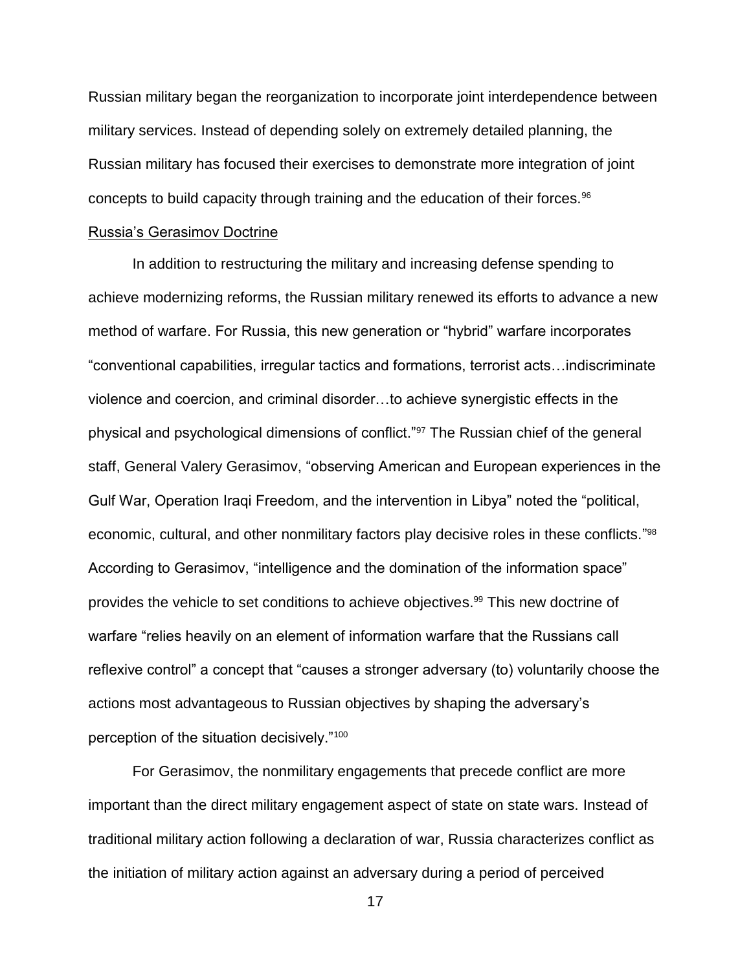Russian military began the reorganization to incorporate joint interdependence between military services. Instead of depending solely on extremely detailed planning, the Russian military has focused their exercises to demonstrate more integration of joint concepts to build capacity through training and the education of their forces.<sup>96</sup>

### Russia's Gerasimov Doctrine

In addition to restructuring the military and increasing defense spending to achieve modernizing reforms, the Russian military renewed its efforts to advance a new method of warfare. For Russia, this new generation or "hybrid" warfare incorporates "conventional capabilities, irregular tactics and formations, terrorist acts…indiscriminate violence and coercion, and criminal disorder…to achieve synergistic effects in the physical and psychological dimensions of conflict."<sup>97</sup> The Russian chief of the general staff, General Valery Gerasimov, "observing American and European experiences in the Gulf War, Operation Iraqi Freedom, and the intervention in Libya" noted the "political, economic, cultural, and other nonmilitary factors play decisive roles in these conflicts."<sup>98</sup> According to Gerasimov, "intelligence and the domination of the information space" provides the vehicle to set conditions to achieve objectives.<sup>99</sup> This new doctrine of warfare "relies heavily on an element of information warfare that the Russians call reflexive control" a concept that "causes a stronger adversary (to) voluntarily choose the actions most advantageous to Russian objectives by shaping the adversary's perception of the situation decisively."<sup>100</sup>

For Gerasimov, the nonmilitary engagements that precede conflict are more important than the direct military engagement aspect of state on state wars. Instead of traditional military action following a declaration of war, Russia characterizes conflict as the initiation of military action against an adversary during a period of perceived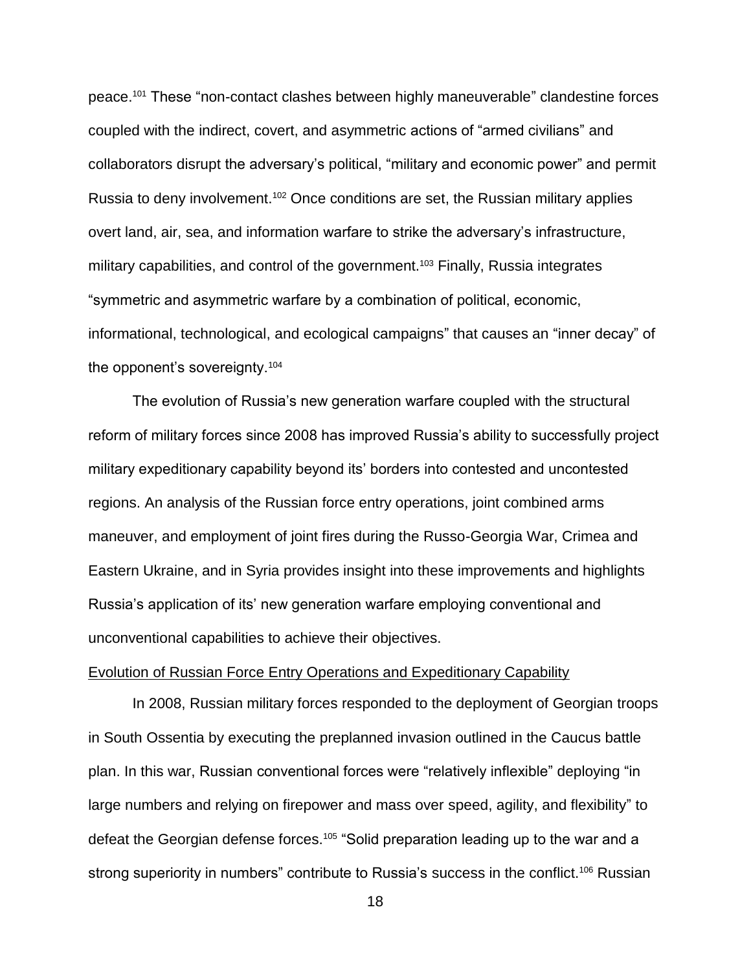peace.<sup>101</sup> These "non-contact clashes between highly maneuverable" clandestine forces coupled with the indirect, covert, and asymmetric actions of "armed civilians" and collaborators disrupt the adversary's political, "military and economic power" and permit Russia to deny involvement.<sup>102</sup> Once conditions are set, the Russian military applies overt land, air, sea, and information warfare to strike the adversary's infrastructure, military capabilities, and control of the government. <sup>103</sup> Finally, Russia integrates "symmetric and asymmetric warfare by a combination of political, economic, informational, technological, and ecological campaigns" that causes an "inner decay" of the opponent's sovereignty.<sup>104</sup>

The evolution of Russia's new generation warfare coupled with the structural reform of military forces since 2008 has improved Russia's ability to successfully project military expeditionary capability beyond its' borders into contested and uncontested regions. An analysis of the Russian force entry operations, joint combined arms maneuver, and employment of joint fires during the Russo-Georgia War, Crimea and Eastern Ukraine, and in Syria provides insight into these improvements and highlights Russia's application of its' new generation warfare employing conventional and unconventional capabilities to achieve their objectives.

### Evolution of Russian Force Entry Operations and Expeditionary Capability

In 2008, Russian military forces responded to the deployment of Georgian troops in South Ossentia by executing the preplanned invasion outlined in the Caucus battle plan. In this war, Russian conventional forces were "relatively inflexible" deploying "in large numbers and relying on firepower and mass over speed, agility, and flexibility" to defeat the Georgian defense forces.<sup>105</sup> "Solid preparation leading up to the war and a strong superiority in numbers" contribute to Russia's success in the conflict.<sup>106</sup> Russian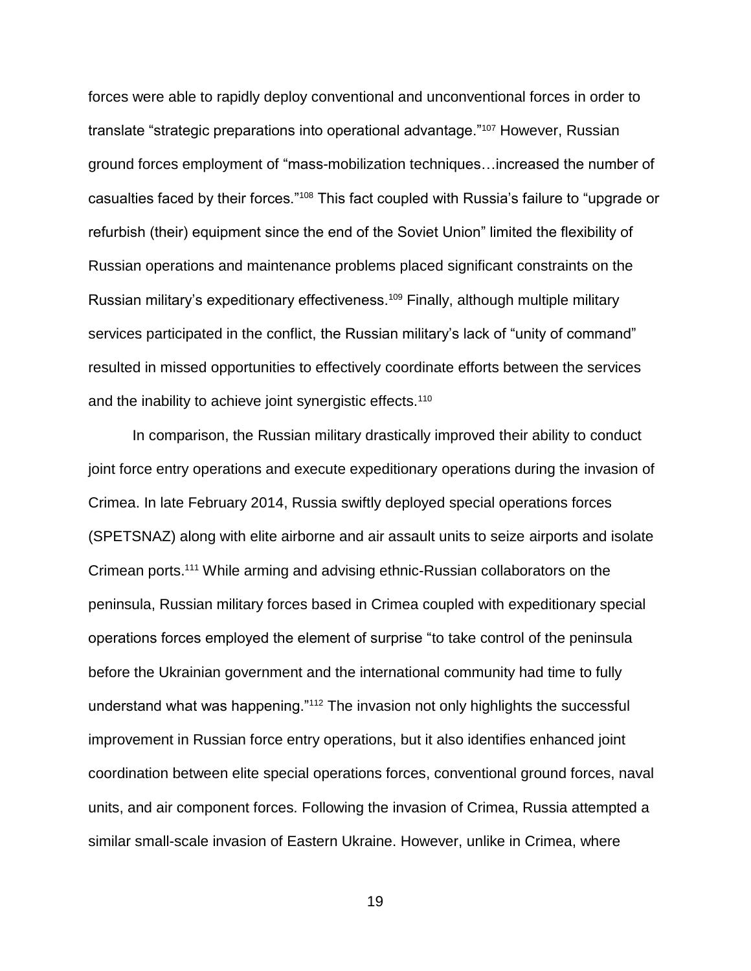forces were able to rapidly deploy conventional and unconventional forces in order to translate "strategic preparations into operational advantage."<sup>107</sup> However, Russian ground forces employment of "mass-mobilization techniques…increased the number of casualties faced by their forces."<sup>108</sup> This fact coupled with Russia's failure to "upgrade or refurbish (their) equipment since the end of the Soviet Union" limited the flexibility of Russian operations and maintenance problems placed significant constraints on the Russian military's expeditionary effectiveness.<sup>109</sup> Finally, although multiple military services participated in the conflict, the Russian military's lack of "unity of command" resulted in missed opportunities to effectively coordinate efforts between the services and the inability to achieve joint synergistic effects.<sup>110</sup>

In comparison, the Russian military drastically improved their ability to conduct joint force entry operations and execute expeditionary operations during the invasion of Crimea. In late February 2014, Russia swiftly deployed special operations forces (SPETSNAZ) along with elite airborne and air assault units to seize airports and isolate Crimean ports. <sup>111</sup> While arming and advising ethnic-Russian collaborators on the peninsula, Russian military forces based in Crimea coupled with expeditionary special operations forces employed the element of surprise "to take control of the peninsula before the Ukrainian government and the international community had time to fully understand what was happening."<sup>112</sup> The invasion not only highlights the successful improvement in Russian force entry operations, but it also identifies enhanced joint coordination between elite special operations forces, conventional ground forces, naval units, and air component forces. Following the invasion of Crimea, Russia attempted a similar small-scale invasion of Eastern Ukraine. However, unlike in Crimea, where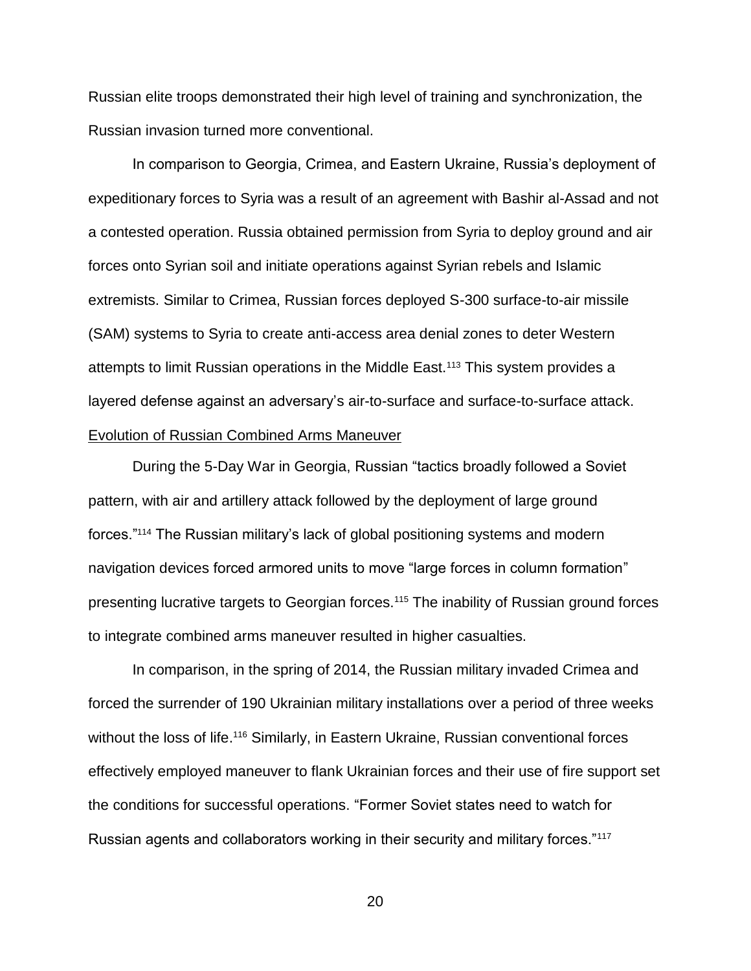Russian elite troops demonstrated their high level of training and synchronization, the Russian invasion turned more conventional.

In comparison to Georgia, Crimea, and Eastern Ukraine, Russia's deployment of expeditionary forces to Syria was a result of an agreement with Bashir al-Assad and not a contested operation. Russia obtained permission from Syria to deploy ground and air forces onto Syrian soil and initiate operations against Syrian rebels and Islamic extremists. Similar to Crimea, Russian forces deployed S-300 surface-to-air missile (SAM) systems to Syria to create anti-access area denial zones to deter Western attempts to limit Russian operations in the Middle East.<sup>113</sup> This system provides a layered defense against an adversary's air-to-surface and surface-to-surface attack. Evolution of Russian Combined Arms Maneuver

During the 5-Day War in Georgia, Russian "tactics broadly followed a Soviet pattern, with air and artillery attack followed by the deployment of large ground forces."<sup>114</sup> The Russian military's lack of global positioning systems and modern navigation devices forced armored units to move "large forces in column formation" presenting lucrative targets to Georgian forces.<sup>115</sup> The inability of Russian ground forces to integrate combined arms maneuver resulted in higher casualties.

In comparison, in the spring of 2014, the Russian military invaded Crimea and forced the surrender of 190 Ukrainian military installations over a period of three weeks without the loss of life.<sup>116</sup> Similarly, in Eastern Ukraine, Russian conventional forces effectively employed maneuver to flank Ukrainian forces and their use of fire support set the conditions for successful operations. "Former Soviet states need to watch for Russian agents and collaborators working in their security and military forces."117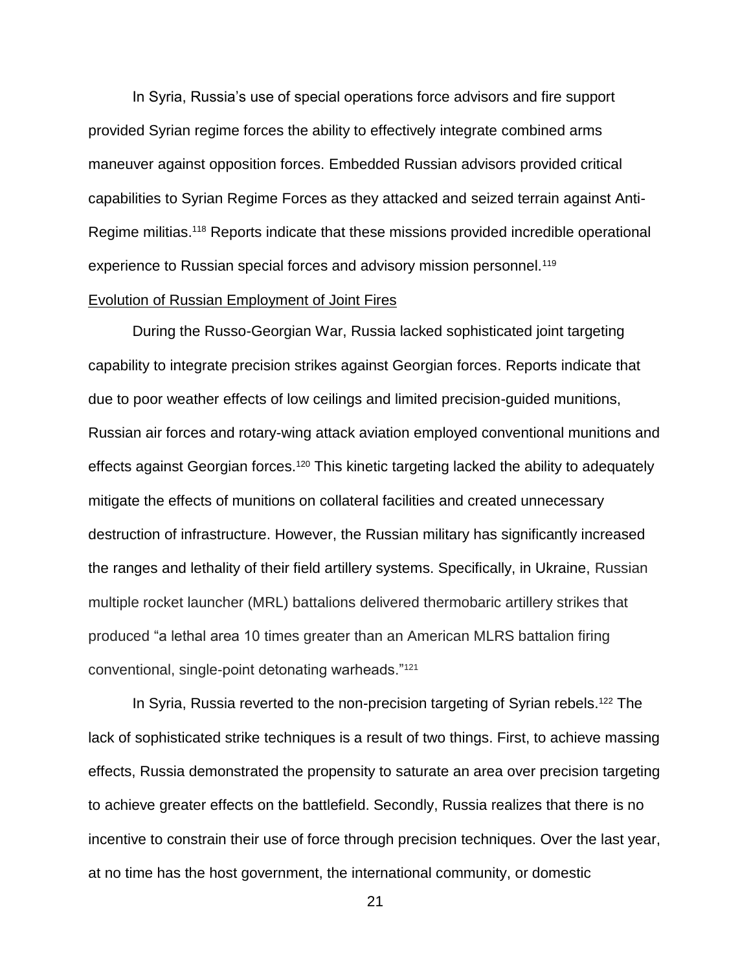In Syria, Russia's use of special operations force advisors and fire support provided Syrian regime forces the ability to effectively integrate combined arms maneuver against opposition forces. Embedded Russian advisors provided critical capabilities to Syrian Regime Forces as they attacked and seized terrain against Anti-Regime militias.<sup>118</sup> Reports indicate that these missions provided incredible operational experience to Russian special forces and advisory mission personnel.<sup>119</sup>

### Evolution of Russian Employment of Joint Fires

During the Russo-Georgian War, Russia lacked sophisticated joint targeting capability to integrate precision strikes against Georgian forces. Reports indicate that due to poor weather effects of low ceilings and limited precision-guided munitions, Russian air forces and rotary-wing attack aviation employed conventional munitions and effects against Georgian forces.<sup>120</sup> This kinetic targeting lacked the ability to adequately mitigate the effects of munitions on collateral facilities and created unnecessary destruction of infrastructure. However, the Russian military has significantly increased the ranges and lethality of their field artillery systems. Specifically, in Ukraine, Russian multiple rocket launcher (MRL) battalions delivered thermobaric artillery strikes that produced "a lethal area 10 times greater than an American MLRS battalion firing conventional, single-point detonating warheads."<sup>121</sup>

In Syria, Russia reverted to the non-precision targeting of Syrian rebels.<sup>122</sup> The lack of sophisticated strike techniques is a result of two things. First, to achieve massing effects, Russia demonstrated the propensity to saturate an area over precision targeting to achieve greater effects on the battlefield. Secondly, Russia realizes that there is no incentive to constrain their use of force through precision techniques. Over the last year, at no time has the host government, the international community, or domestic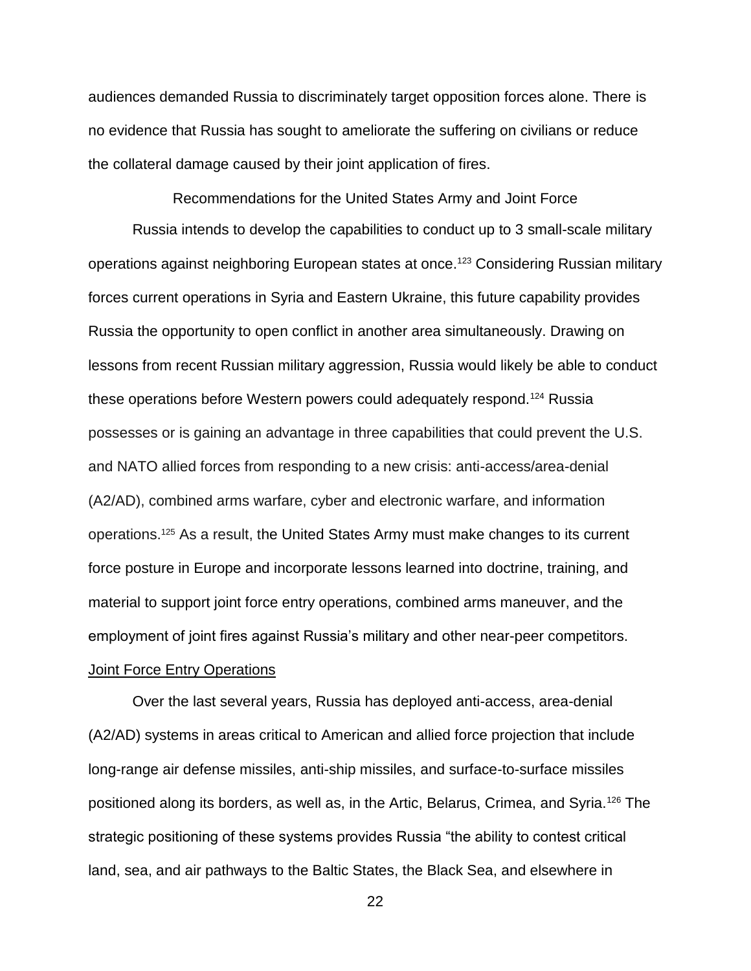audiences demanded Russia to discriminately target opposition forces alone. There is no evidence that Russia has sought to ameliorate the suffering on civilians or reduce the collateral damage caused by their joint application of fires.

Recommendations for the United States Army and Joint Force

Russia intends to develop the capabilities to conduct up to 3 small-scale military operations against neighboring European states at once.<sup>123</sup> Considering Russian military forces current operations in Syria and Eastern Ukraine, this future capability provides Russia the opportunity to open conflict in another area simultaneously. Drawing on lessons from recent Russian military aggression, Russia would likely be able to conduct these operations before Western powers could adequately respond.<sup>124</sup> Russia possesses or is gaining an advantage in three capabilities that could prevent the U.S. and NATO allied forces from responding to a new crisis: anti-access/area-denial (A2/AD), combined arms warfare, cyber and electronic warfare, and information operations.<sup>125</sup> As a result, the United States Army must make changes to its current force posture in Europe and incorporate lessons learned into doctrine, training, and material to support joint force entry operations, combined arms maneuver, and the employment of joint fires against Russia's military and other near-peer competitors. Joint Force Entry Operations

Over the last several years, Russia has deployed anti-access, area-denial (A2/AD) systems in areas critical to American and allied force projection that include long-range air defense missiles, anti-ship missiles, and surface-to-surface missiles positioned along its borders, as well as, in the Artic, Belarus, Crimea, and Syria.<sup>126</sup> The strategic positioning of these systems provides Russia "the ability to contest critical land, sea, and air pathways to the Baltic States, the Black Sea, and elsewhere in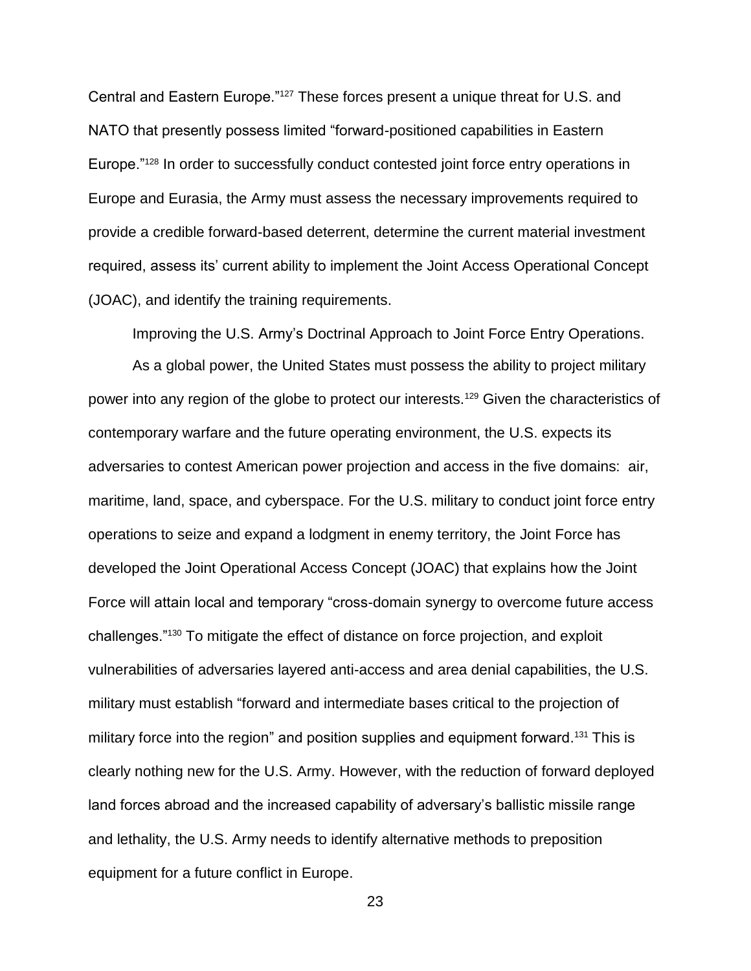Central and Eastern Europe."<sup>127</sup> These forces present a unique threat for U.S. and NATO that presently possess limited "forward-positioned capabilities in Eastern Europe."<sup>128</sup> In order to successfully conduct contested joint force entry operations in Europe and Eurasia, the Army must assess the necessary improvements required to provide a credible forward-based deterrent, determine the current material investment required, assess its' current ability to implement the Joint Access Operational Concept (JOAC), and identify the training requirements.

Improving the U.S. Army's Doctrinal Approach to Joint Force Entry Operations.

As a global power, the United States must possess the ability to project military power into any region of the globe to protect our interests.<sup>129</sup> Given the characteristics of contemporary warfare and the future operating environment, the U.S. expects its adversaries to contest American power projection and access in the five domains: air, maritime, land, space, and cyberspace. For the U.S. military to conduct joint force entry operations to seize and expand a lodgment in enemy territory, the Joint Force has developed the Joint Operational Access Concept (JOAC) that explains how the Joint Force will attain local and temporary "cross-domain synergy to overcome future access challenges."<sup>130</sup> To mitigate the effect of distance on force projection, and exploit vulnerabilities of adversaries layered anti-access and area denial capabilities, the U.S. military must establish "forward and intermediate bases critical to the projection of military force into the region" and position supplies and equipment forward.<sup>131</sup> This is clearly nothing new for the U.S. Army. However, with the reduction of forward deployed land forces abroad and the increased capability of adversary's ballistic missile range and lethality, the U.S. Army needs to identify alternative methods to preposition equipment for a future conflict in Europe.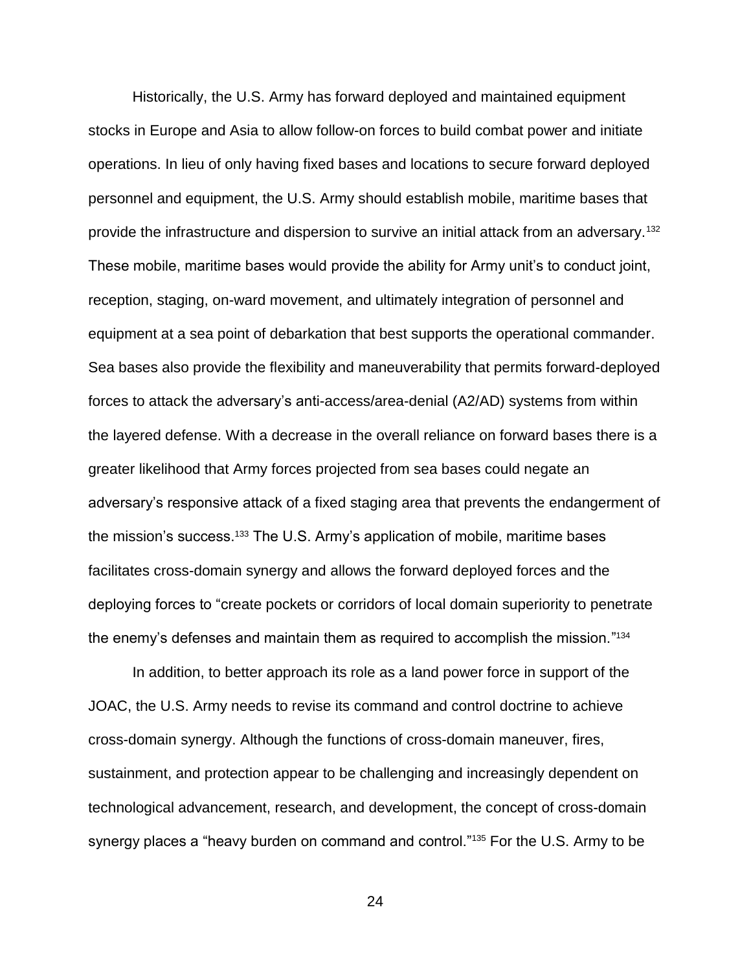Historically, the U.S. Army has forward deployed and maintained equipment stocks in Europe and Asia to allow follow-on forces to build combat power and initiate operations. In lieu of only having fixed bases and locations to secure forward deployed personnel and equipment, the U.S. Army should establish mobile, maritime bases that provide the infrastructure and dispersion to survive an initial attack from an adversary.<sup>132</sup> These mobile, maritime bases would provide the ability for Army unit's to conduct joint, reception, staging, on-ward movement, and ultimately integration of personnel and equipment at a sea point of debarkation that best supports the operational commander. Sea bases also provide the flexibility and maneuverability that permits forward-deployed forces to attack the adversary's anti-access/area-denial (A2/AD) systems from within the layered defense. With a decrease in the overall reliance on forward bases there is a greater likelihood that Army forces projected from sea bases could negate an adversary's responsive attack of a fixed staging area that prevents the endangerment of the mission's success. <sup>133</sup> The U.S. Army's application of mobile, maritime bases facilitates cross-domain synergy and allows the forward deployed forces and the deploying forces to "create pockets or corridors of local domain superiority to penetrate the enemy's defenses and maintain them as required to accomplish the mission." 134

In addition, to better approach its role as a land power force in support of the JOAC, the U.S. Army needs to revise its command and control doctrine to achieve cross-domain synergy. Although the functions of cross-domain maneuver, fires, sustainment, and protection appear to be challenging and increasingly dependent on technological advancement, research, and development, the concept of cross-domain synergy places a "heavy burden on command and control."<sup>135</sup> For the U.S. Army to be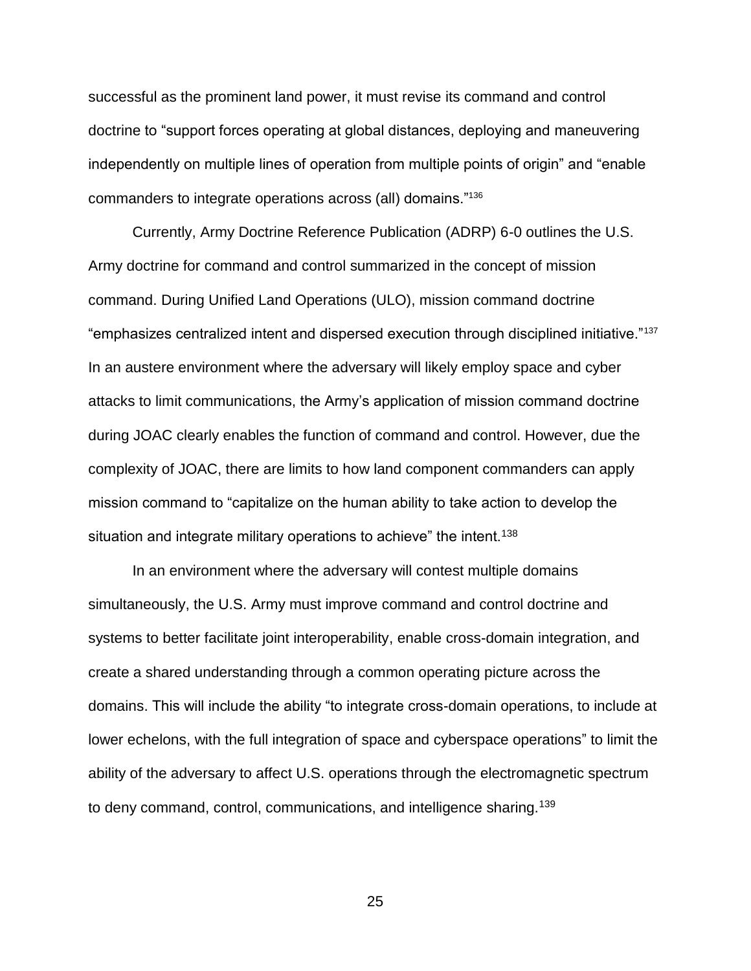successful as the prominent land power, it must revise its command and control doctrine to "support forces operating at global distances, deploying and maneuvering independently on multiple lines of operation from multiple points of origin" and "enable commanders to integrate operations across (all) domains."<sup>136</sup>

Currently, Army Doctrine Reference Publication (ADRP) 6-0 outlines the U.S. Army doctrine for command and control summarized in the concept of mission command. During Unified Land Operations (ULO), mission command doctrine "emphasizes centralized intent and dispersed execution through disciplined initiative."<sup>137</sup> In an austere environment where the adversary will likely employ space and cyber attacks to limit communications, the Army's application of mission command doctrine during JOAC clearly enables the function of command and control. However, due the complexity of JOAC, there are limits to how land component commanders can apply mission command to "capitalize on the human ability to take action to develop the situation and integrate military operations to achieve" the intent.<sup>138</sup>

In an environment where the adversary will contest multiple domains simultaneously, the U.S. Army must improve command and control doctrine and systems to better facilitate joint interoperability, enable cross-domain integration, and create a shared understanding through a common operating picture across the domains. This will include the ability "to integrate cross-domain operations, to include at lower echelons, with the full integration of space and cyberspace operations" to limit the ability of the adversary to affect U.S. operations through the electromagnetic spectrum to deny command, control, communications, and intelligence sharing.<sup>139</sup>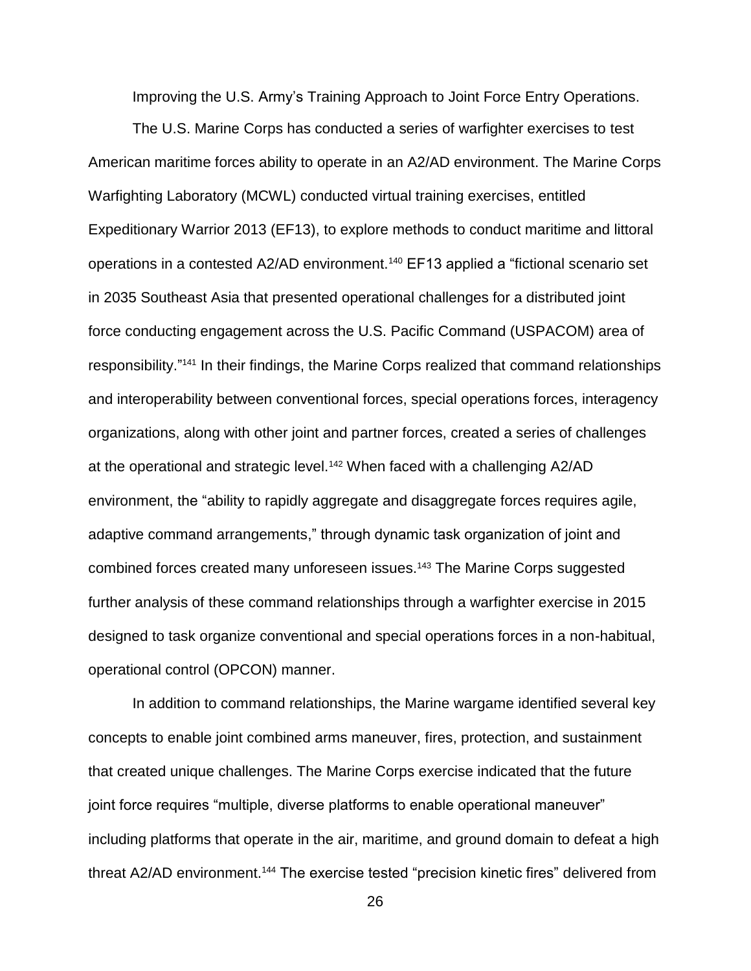Improving the U.S. Army's Training Approach to Joint Force Entry Operations.

The U.S. Marine Corps has conducted a series of warfighter exercises to test American maritime forces ability to operate in an A2/AD environment. The Marine Corps Warfighting Laboratory (MCWL) conducted virtual training exercises, entitled Expeditionary Warrior 2013 (EF13), to explore methods to conduct maritime and littoral operations in a contested A2/AD environment.<sup>140</sup> EF13 applied a "fictional scenario set in 2035 Southeast Asia that presented operational challenges for a distributed joint force conducting engagement across the U.S. Pacific Command (USPACOM) area of responsibility."<sup>141</sup> In their findings, the Marine Corps realized that command relationships and interoperability between conventional forces, special operations forces, interagency organizations, along with other joint and partner forces, created a series of challenges at the operational and strategic level.<sup>142</sup> When faced with a challenging A2/AD environment, the "ability to rapidly aggregate and disaggregate forces requires agile, adaptive command arrangements," through dynamic task organization of joint and combined forces created many unforeseen issues.<sup>143</sup> The Marine Corps suggested further analysis of these command relationships through a warfighter exercise in 2015 designed to task organize conventional and special operations forces in a non-habitual, operational control (OPCON) manner.

In addition to command relationships, the Marine wargame identified several key concepts to enable joint combined arms maneuver, fires, protection, and sustainment that created unique challenges. The Marine Corps exercise indicated that the future joint force requires "multiple, diverse platforms to enable operational maneuver" including platforms that operate in the air, maritime, and ground domain to defeat a high threat A2/AD environment.<sup>144</sup> The exercise tested "precision kinetic fires" delivered from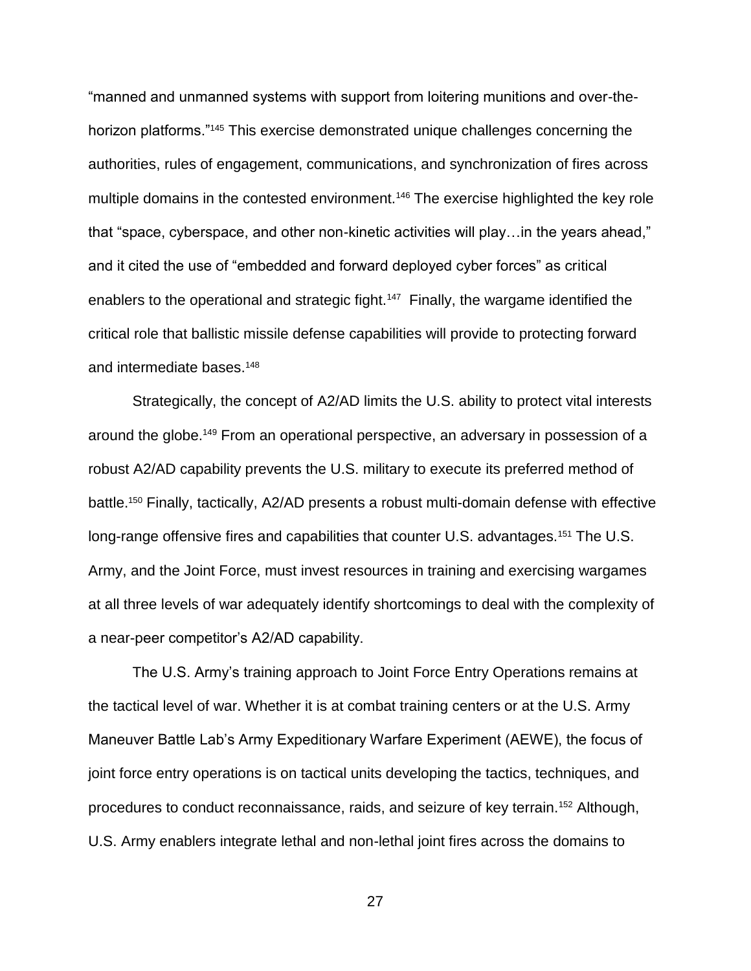"manned and unmanned systems with support from loitering munitions and over-thehorizon platforms."<sup>145</sup> This exercise demonstrated unique challenges concerning the authorities, rules of engagement, communications, and synchronization of fires across multiple domains in the contested environment.<sup>146</sup> The exercise highlighted the key role that "space, cyberspace, and other non-kinetic activities will play…in the years ahead," and it cited the use of "embedded and forward deployed cyber forces" as critical enablers to the operational and strategic fight.<sup>147</sup> Finally, the wargame identified the critical role that ballistic missile defense capabilities will provide to protecting forward and intermediate bases.<sup>148</sup>

Strategically, the concept of A2/AD limits the U.S. ability to protect vital interests around the globe.<sup>149</sup> From an operational perspective, an adversary in possession of a robust A2/AD capability prevents the U.S. military to execute its preferred method of battle.<sup>150</sup> Finally, tactically, A2/AD presents a robust multi-domain defense with effective long-range offensive fires and capabilities that counter U.S. advantages.<sup>151</sup> The U.S. Army, and the Joint Force, must invest resources in training and exercising wargames at all three levels of war adequately identify shortcomings to deal with the complexity of a near-peer competitor's A2/AD capability.

The U.S. Army's training approach to Joint Force Entry Operations remains at the tactical level of war. Whether it is at combat training centers or at the U.S. Army Maneuver Battle Lab's Army Expeditionary Warfare Experiment (AEWE), the focus of joint force entry operations is on tactical units developing the tactics, techniques, and procedures to conduct reconnaissance, raids, and seizure of key terrain.<sup>152</sup> Although, U.S. Army enablers integrate lethal and non-lethal joint fires across the domains to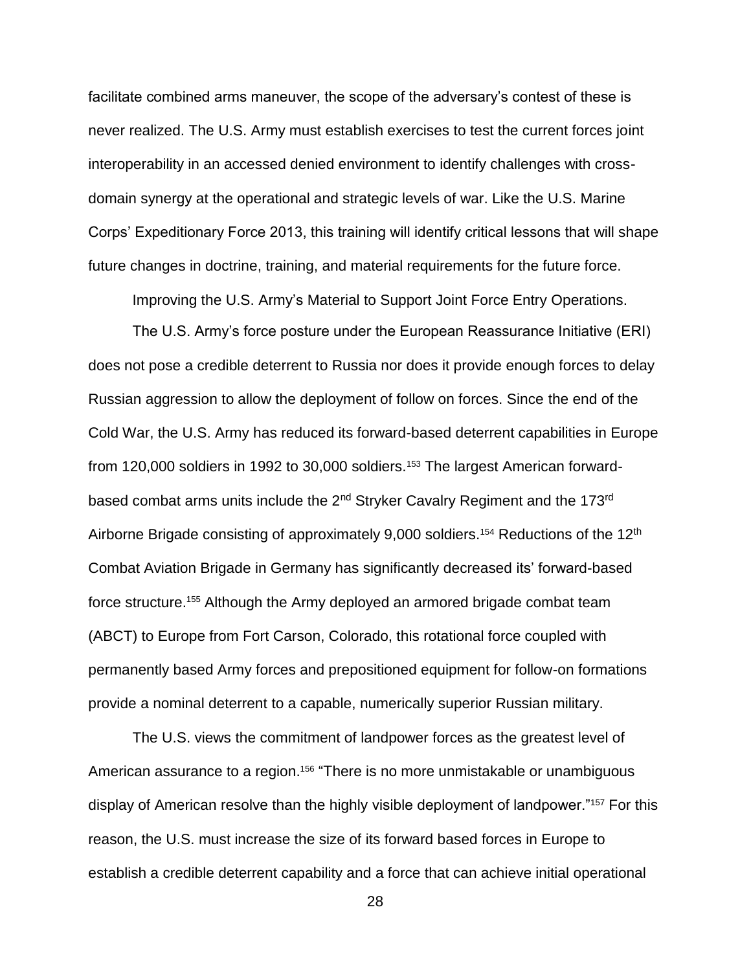facilitate combined arms maneuver, the scope of the adversary's contest of these is never realized. The U.S. Army must establish exercises to test the current forces joint interoperability in an accessed denied environment to identify challenges with crossdomain synergy at the operational and strategic levels of war. Like the U.S. Marine Corps' Expeditionary Force 2013, this training will identify critical lessons that will shape future changes in doctrine, training, and material requirements for the future force.

Improving the U.S. Army's Material to Support Joint Force Entry Operations.

The U.S. Army's force posture under the European Reassurance Initiative (ERI) does not pose a credible deterrent to Russia nor does it provide enough forces to delay Russian aggression to allow the deployment of follow on forces. Since the end of the Cold War, the U.S. Army has reduced its forward-based deterrent capabilities in Europe from 120,000 soldiers in 1992 to 30,000 soldiers.<sup>153</sup> The largest American forwardbased combat arms units include the 2<sup>nd</sup> Stryker Cavalry Regiment and the 173<sup>rd</sup> Airborne Brigade consisting of approximately 9,000 soldiers.<sup>154</sup> Reductions of the 12<sup>th</sup> Combat Aviation Brigade in Germany has significantly decreased its' forward-based force structure.<sup>155</sup> Although the Army deployed an armored brigade combat team (ABCT) to Europe from Fort Carson, Colorado, this rotational force coupled with permanently based Army forces and prepositioned equipment for follow-on formations provide a nominal deterrent to a capable, numerically superior Russian military.

The U.S. views the commitment of landpower forces as the greatest level of American assurance to a region.<sup>156</sup> "There is no more unmistakable or unambiquous display of American resolve than the highly visible deployment of landpower."<sup>157</sup> For this reason, the U.S. must increase the size of its forward based forces in Europe to establish a credible deterrent capability and a force that can achieve initial operational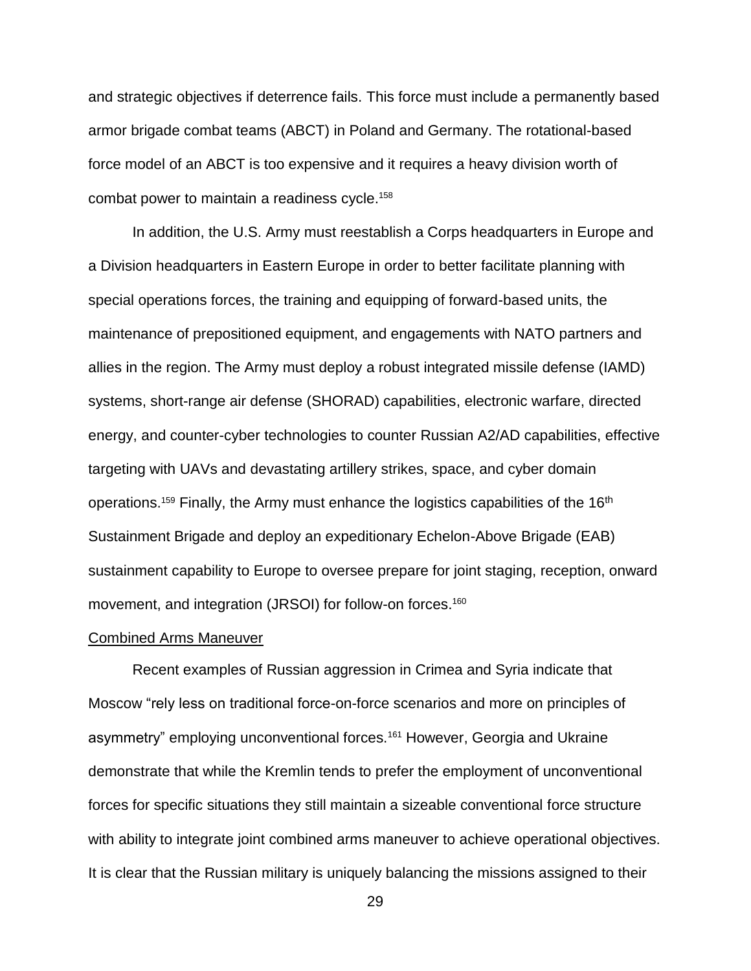and strategic objectives if deterrence fails. This force must include a permanently based armor brigade combat teams (ABCT) in Poland and Germany. The rotational-based force model of an ABCT is too expensive and it requires a heavy division worth of combat power to maintain a readiness cycle. 158

In addition, the U.S. Army must reestablish a Corps headquarters in Europe and a Division headquarters in Eastern Europe in order to better facilitate planning with special operations forces, the training and equipping of forward-based units, the maintenance of prepositioned equipment, and engagements with NATO partners and allies in the region. The Army must deploy a robust integrated missile defense (IAMD) systems, short-range air defense (SHORAD) capabilities, electronic warfare, directed energy, and counter-cyber technologies to counter Russian A2/AD capabilities, effective targeting with UAVs and devastating artillery strikes, space, and cyber domain operations.<sup>159</sup> Finally, the Army must enhance the logistics capabilities of the 16<sup>th</sup> Sustainment Brigade and deploy an expeditionary Echelon-Above Brigade (EAB) sustainment capability to Europe to oversee prepare for joint staging, reception, onward movement, and integration (JRSOI) for follow-on forces.<sup>160</sup>

### Combined Arms Maneuver

Recent examples of Russian aggression in Crimea and Syria indicate that Moscow "rely less on traditional force-on-force scenarios and more on principles of asymmetry" employing unconventional forces.<sup>161</sup> However, Georgia and Ukraine demonstrate that while the Kremlin tends to prefer the employment of unconventional forces for specific situations they still maintain a sizeable conventional force structure with ability to integrate joint combined arms maneuver to achieve operational objectives. It is clear that the Russian military is uniquely balancing the missions assigned to their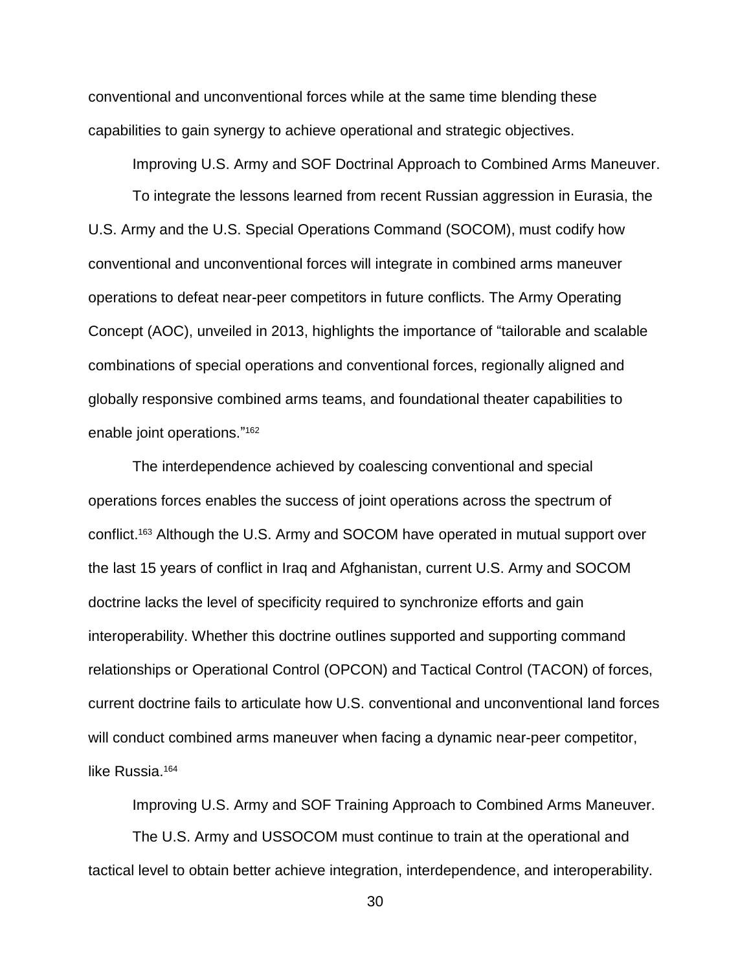conventional and unconventional forces while at the same time blending these capabilities to gain synergy to achieve operational and strategic objectives.

Improving U.S. Army and SOF Doctrinal Approach to Combined Arms Maneuver. To integrate the lessons learned from recent Russian aggression in Eurasia, the U.S. Army and the U.S. Special Operations Command (SOCOM), must codify how conventional and unconventional forces will integrate in combined arms maneuver operations to defeat near-peer competitors in future conflicts. The Army Operating Concept (AOC), unveiled in 2013, highlights the importance of "tailorable and scalable combinations of special operations and conventional forces, regionally aligned and globally responsive combined arms teams, and foundational theater capabilities to enable joint operations." 162

The interdependence achieved by coalescing conventional and special operations forces enables the success of joint operations across the spectrum of conflict. <sup>163</sup> Although the U.S. Army and SOCOM have operated in mutual support over the last 15 years of conflict in Iraq and Afghanistan, current U.S. Army and SOCOM doctrine lacks the level of specificity required to synchronize efforts and gain interoperability. Whether this doctrine outlines supported and supporting command relationships or Operational Control (OPCON) and Tactical Control (TACON) of forces, current doctrine fails to articulate how U.S. conventional and unconventional land forces will conduct combined arms maneuver when facing a dynamic near-peer competitor, like Russia.<sup>164</sup>

Improving U.S. Army and SOF Training Approach to Combined Arms Maneuver.

The U.S. Army and USSOCOM must continue to train at the operational and tactical level to obtain better achieve integration, interdependence, and interoperability.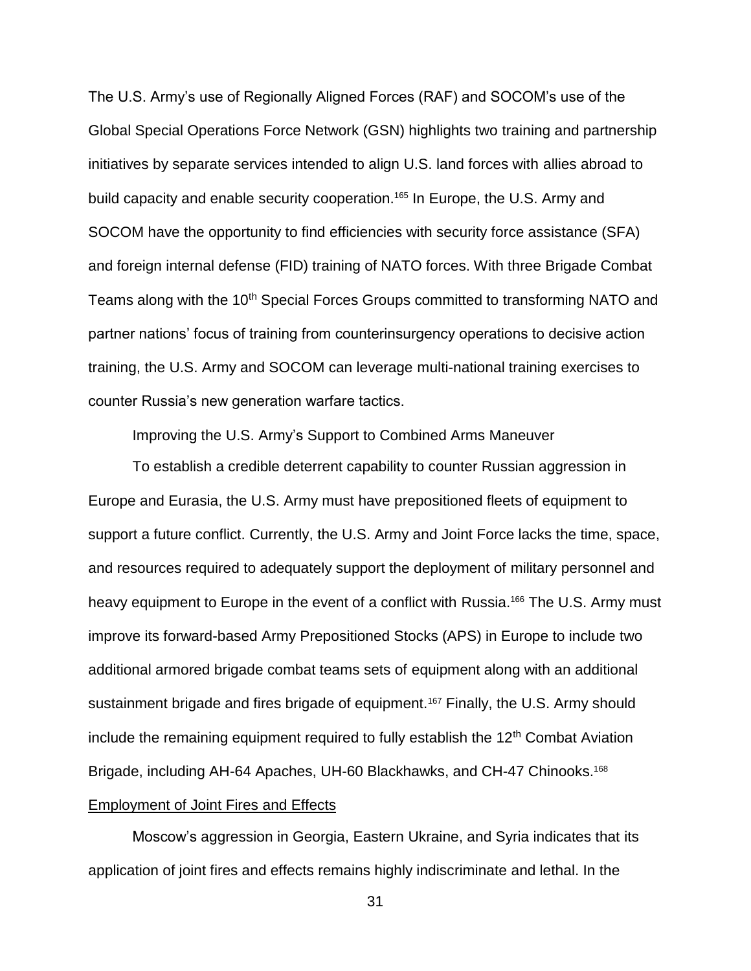The U.S. Army's use of Regionally Aligned Forces (RAF) and SOCOM's use of the Global Special Operations Force Network (GSN) highlights two training and partnership initiatives by separate services intended to align U.S. land forces with allies abroad to build capacity and enable security cooperation.<sup>165</sup> In Europe, the U.S. Army and SOCOM have the opportunity to find efficiencies with security force assistance (SFA) and foreign internal defense (FID) training of NATO forces. With three Brigade Combat Teams along with the 10<sup>th</sup> Special Forces Groups committed to transforming NATO and partner nations' focus of training from counterinsurgency operations to decisive action training, the U.S. Army and SOCOM can leverage multi-national training exercises to counter Russia's new generation warfare tactics.

Improving the U.S. Army's Support to Combined Arms Maneuver

To establish a credible deterrent capability to counter Russian aggression in Europe and Eurasia, the U.S. Army must have prepositioned fleets of equipment to support a future conflict. Currently, the U.S. Army and Joint Force lacks the time, space, and resources required to adequately support the deployment of military personnel and heavy equipment to Europe in the event of a conflict with Russia.<sup>166</sup> The U.S. Army must improve its forward-based Army Prepositioned Stocks (APS) in Europe to include two additional armored brigade combat teams sets of equipment along with an additional sustainment brigade and fires brigade of equipment.<sup>167</sup> Finally, the U.S. Army should include the remaining equipment required to fully establish the  $12<sup>th</sup>$  Combat Aviation Brigade, including AH-64 Apaches, UH-60 Blackhawks, and CH-47 Chinooks.<sup>168</sup> Employment of Joint Fires and Effects

Moscow's aggression in Georgia, Eastern Ukraine, and Syria indicates that its application of joint fires and effects remains highly indiscriminate and lethal. In the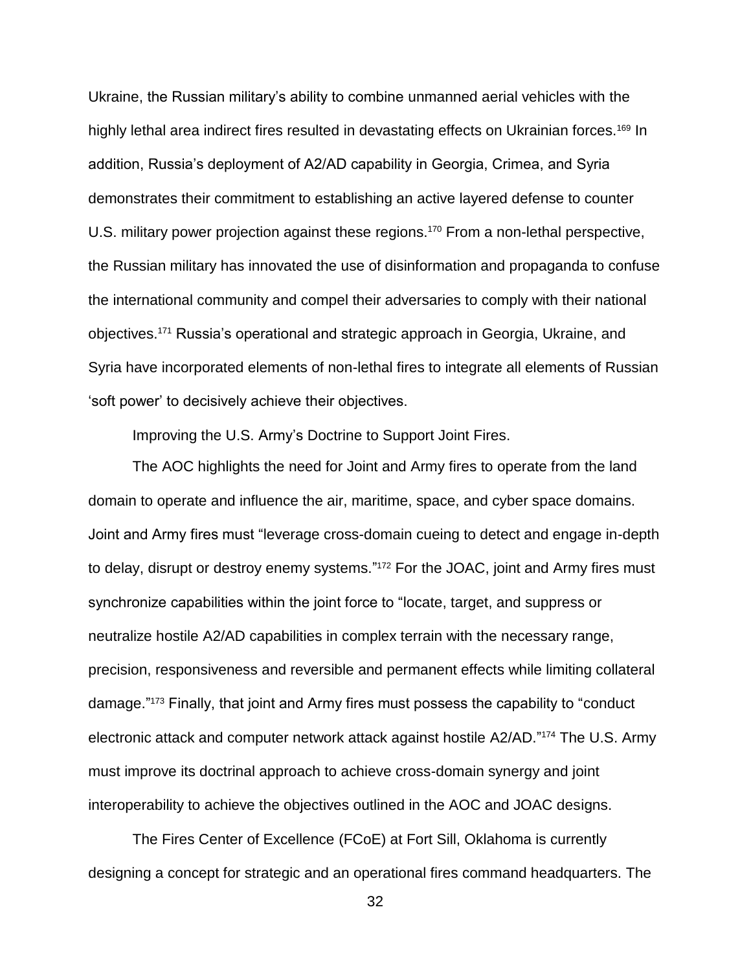Ukraine, the Russian military's ability to combine unmanned aerial vehicles with the highly lethal area indirect fires resulted in devastating effects on Ukrainian forces.<sup>169</sup> In addition, Russia's deployment of A2/AD capability in Georgia, Crimea, and Syria demonstrates their commitment to establishing an active layered defense to counter U.S. military power projection against these regions.<sup>170</sup> From a non-lethal perspective, the Russian military has innovated the use of disinformation and propaganda to confuse the international community and compel their adversaries to comply with their national objectives.<sup>171</sup> Russia's operational and strategic approach in Georgia, Ukraine, and Syria have incorporated elements of non-lethal fires to integrate all elements of Russian 'soft power' to decisively achieve their objectives.

Improving the U.S. Army's Doctrine to Support Joint Fires.

The AOC highlights the need for Joint and Army fires to operate from the land domain to operate and influence the air, maritime, space, and cyber space domains. Joint and Army fires must "leverage cross-domain cueing to detect and engage in-depth to delay, disrupt or destroy enemy systems." <sup>172</sup> For the JOAC, joint and Army fires must synchronize capabilities within the joint force to "locate, target, and suppress or neutralize hostile A2/AD capabilities in complex terrain with the necessary range, precision, responsiveness and reversible and permanent effects while limiting collateral damage." <sup>173</sup> Finally, that joint and Army fires must possess the capability to "conduct electronic attack and computer network attack against hostile A2/AD." <sup>174</sup> The U.S. Army must improve its doctrinal approach to achieve cross-domain synergy and joint interoperability to achieve the objectives outlined in the AOC and JOAC designs.

The Fires Center of Excellence (FCoE) at Fort Sill, Oklahoma is currently designing a concept for strategic and an operational fires command headquarters. The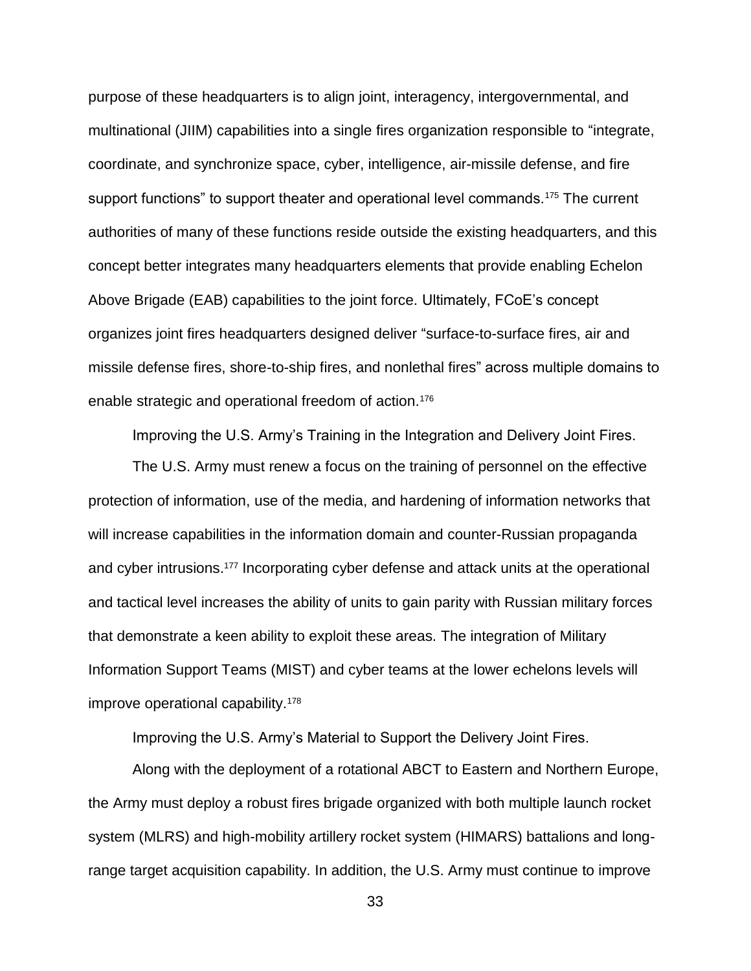purpose of these headquarters is to align joint, interagency, intergovernmental, and multinational (JIIM) capabilities into a single fires organization responsible to "integrate, coordinate, and synchronize space, cyber, intelligence, air-missile defense, and fire support functions" to support theater and operational level commands.<sup>175</sup> The current authorities of many of these functions reside outside the existing headquarters, and this concept better integrates many headquarters elements that provide enabling Echelon Above Brigade (EAB) capabilities to the joint force. Ultimately, FCoE's concept organizes joint fires headquarters designed deliver "surface-to-surface fires, air and missile defense fires, shore-to-ship fires, and nonlethal fires" across multiple domains to enable strategic and operational freedom of action.<sup>176</sup>

Improving the U.S. Army's Training in the Integration and Delivery Joint Fires.

The U.S. Army must renew a focus on the training of personnel on the effective protection of information, use of the media, and hardening of information networks that will increase capabilities in the information domain and counter-Russian propaganda and cyber intrusions.<sup>177</sup> Incorporating cyber defense and attack units at the operational and tactical level increases the ability of units to gain parity with Russian military forces that demonstrate a keen ability to exploit these areas. The integration of Military Information Support Teams (MIST) and cyber teams at the lower echelons levels will improve operational capability.<sup>178</sup>

Improving the U.S. Army's Material to Support the Delivery Joint Fires.

Along with the deployment of a rotational ABCT to Eastern and Northern Europe, the Army must deploy a robust fires brigade organized with both multiple launch rocket system (MLRS) and high-mobility artillery rocket system (HIMARS) battalions and longrange target acquisition capability. In addition, the U.S. Army must continue to improve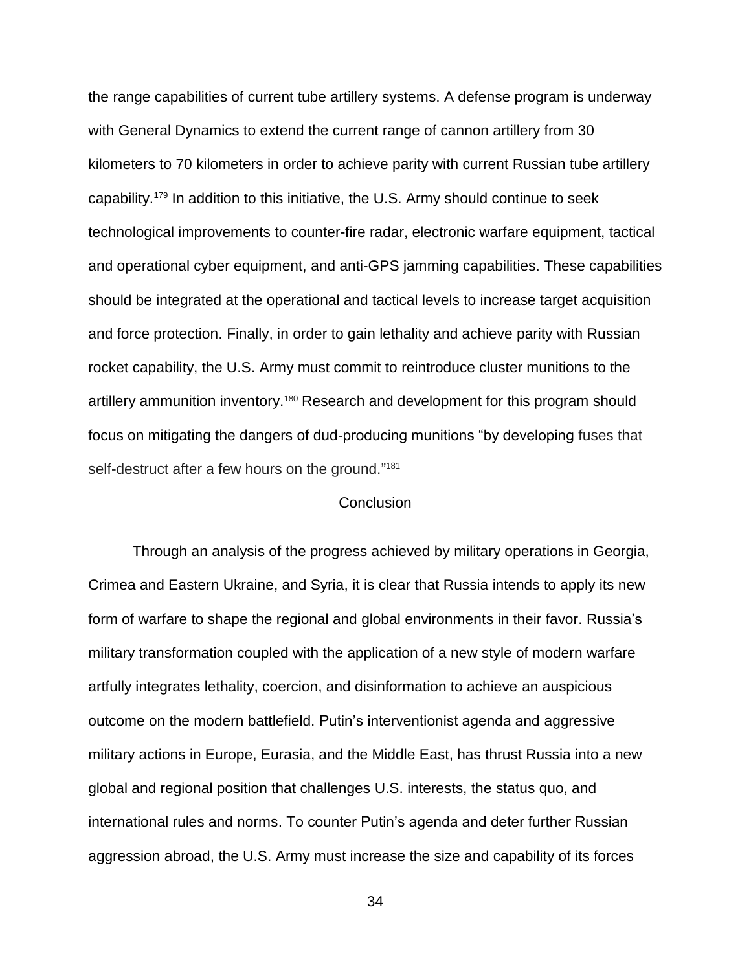the range capabilities of current tube artillery systems. A defense program is underway with General Dynamics to extend the current range of cannon artillery from 30 kilometers to 70 kilometers in order to achieve parity with current Russian tube artillery capability.<sup>179</sup> In addition to this initiative, the U.S. Army should continue to seek technological improvements to counter-fire radar, electronic warfare equipment, tactical and operational cyber equipment, and anti-GPS jamming capabilities. These capabilities should be integrated at the operational and tactical levels to increase target acquisition and force protection. Finally, in order to gain lethality and achieve parity with Russian rocket capability, the U.S. Army must commit to reintroduce cluster munitions to the artillery ammunition inventory.<sup>180</sup> Research and development for this program should focus on mitigating the dangers of dud-producing munitions "by developing fuses that self-destruct after a few hours on the ground."<sup>181</sup>

### **Conclusion**

Through an analysis of the progress achieved by military operations in Georgia, Crimea and Eastern Ukraine, and Syria, it is clear that Russia intends to apply its new form of warfare to shape the regional and global environments in their favor. Russia's military transformation coupled with the application of a new style of modern warfare artfully integrates lethality, coercion, and disinformation to achieve an auspicious outcome on the modern battlefield. Putin's interventionist agenda and aggressive military actions in Europe, Eurasia, and the Middle East, has thrust Russia into a new global and regional position that challenges U.S. interests, the status quo, and international rules and norms. To counter Putin's agenda and deter further Russian aggression abroad, the U.S. Army must increase the size and capability of its forces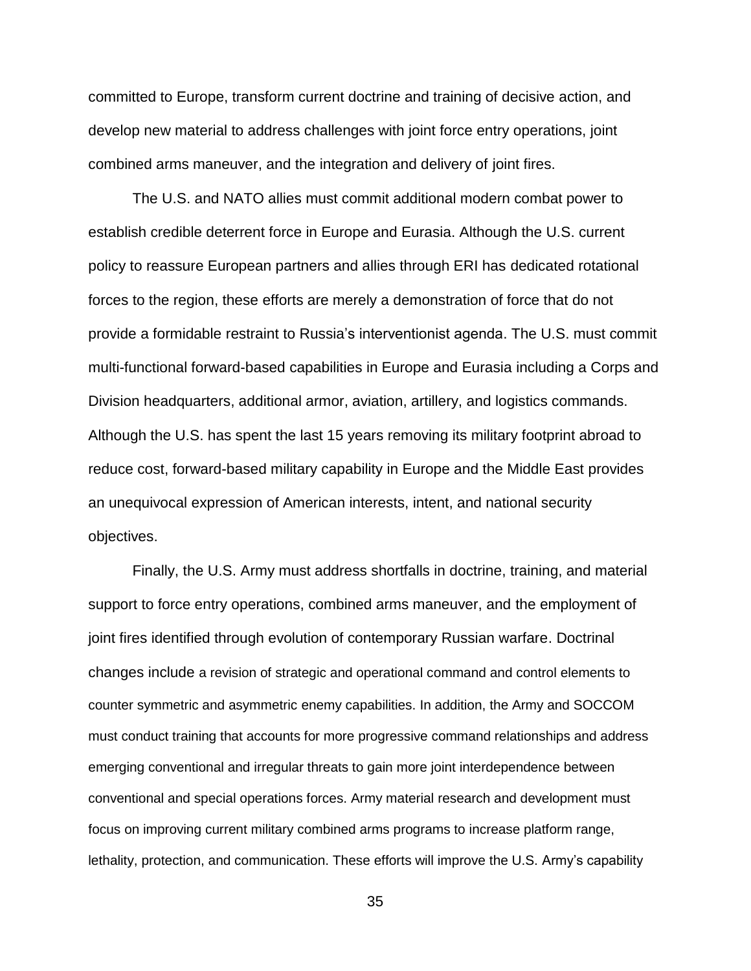committed to Europe, transform current doctrine and training of decisive action, and develop new material to address challenges with joint force entry operations, joint combined arms maneuver, and the integration and delivery of joint fires.

The U.S. and NATO allies must commit additional modern combat power to establish credible deterrent force in Europe and Eurasia. Although the U.S. current policy to reassure European partners and allies through ERI has dedicated rotational forces to the region, these efforts are merely a demonstration of force that do not provide a formidable restraint to Russia's interventionist agenda. The U.S. must commit multi-functional forward-based capabilities in Europe and Eurasia including a Corps and Division headquarters, additional armor, aviation, artillery, and logistics commands. Although the U.S. has spent the last 15 years removing its military footprint abroad to reduce cost, forward-based military capability in Europe and the Middle East provides an unequivocal expression of American interests, intent, and national security objectives.

Finally, the U.S. Army must address shortfalls in doctrine, training, and material support to force entry operations, combined arms maneuver, and the employment of joint fires identified through evolution of contemporary Russian warfare. Doctrinal changes include a revision of strategic and operational command and control elements to counter symmetric and asymmetric enemy capabilities. In addition, the Army and SOCCOM must conduct training that accounts for more progressive command relationships and address emerging conventional and irregular threats to gain more joint interdependence between conventional and special operations forces. Army material research and development must focus on improving current military combined arms programs to increase platform range, lethality, protection, and communication. These efforts will improve the U.S. Army's capability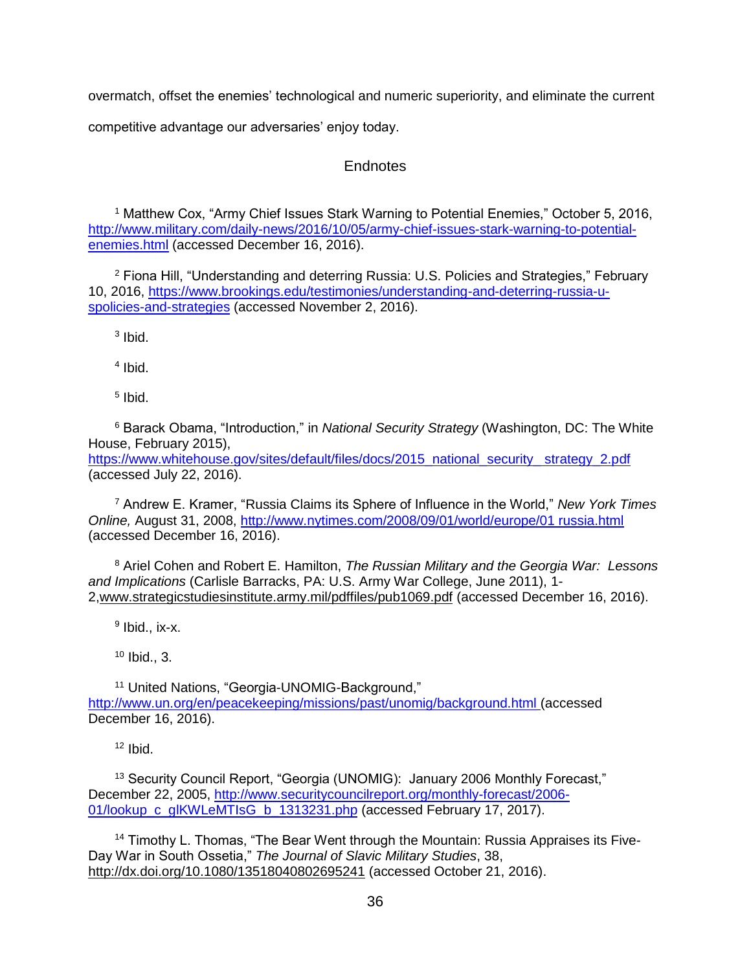overmatch, offset the enemies' technological and numeric superiority, and eliminate the current competitive advantage our adversaries' enjoy today.

### **Endnotes**

<sup>1</sup> Matthew Cox, "Army Chief Issues Stark Warning to Potential Enemies," October 5, 2016, [http://www.military.com/daily-news/2016/10/05/army-chief-issues-stark-warning-to-potential](http://www.military.com/daily-news/2016/10/05/army-chief-issues-stark-warning-to-potential-enemies.html)[enemies.html](http://www.military.com/daily-news/2016/10/05/army-chief-issues-stark-warning-to-potential-enemies.html) (accessed December 16, 2016).

 $2$  Fiona Hill, "Understanding and deterring Russia: U.S. Policies and Strategies," February 10, 2016, [https://www.brookings.edu/testimonies/understanding-and-deterring-russia-u](https://www.brookings.edu/testimonies/understanding-and-deterring-russia-u-spolicies-and-strategies)[spolicies-and-strategies](https://www.brookings.edu/testimonies/understanding-and-deterring-russia-u-spolicies-and-strategies) (accessed November 2, 2016).

<sup>3</sup> Ibid.

4 Ibid.

5 Ibid.

<sup>6</sup> Barack Obama, "Introduction," in *National Security Strategy* (Washington, DC: The White House, February 2015),

https://www.whitehouse.gov/sites/default/files/docs/2015\_national\_security\_strategy\_2.pdf (accessed July 22, 2016).

<sup>7</sup> Andrew E. Kramer, "Russia Claims its Sphere of Influence in the World," *New York Times Online,* August 31, 2008, [http://www.nytimes.com/2008/09/01/world/europe/01 russia.html](http://www.nytimes.com/2008/09/01/world/europe/01%20russia.html) (accessed December 16, 2016).

<sup>8</sup> Ariel Cohen and Robert E. Hamilton, *The Russian Military and the Georgia War: Lessons and Implications* (Carlisle Barracks, PA: U.S. Army War College, June 2011), 1- 2[,www.strategicstudiesinstitute.army.mil/pdffiles/pub1069.pdf](http://www.strategicstudiesinstitute.army.mil/pdffiles/pub1069.pdf) (accessed December 16, 2016).

<sup>9</sup> Ibid., ix-x.

 $10$  Ibid., 3.

<sup>11</sup> United Nations, "Georgia-UNOMIG-Background," <http://www.un.org/en/peacekeeping/missions/past/unomig/background.html> (accessed December 16, 2016).

 $12$  Ibid.

<sup>13</sup> Security Council Report, "Georgia (UNOMIG): January 2006 Monthly Forecast," December 22, 2005, [http://www.securitycouncilreport.org/monthly-forecast/2006-](http://www.securitycouncilreport.org/monthly-forecast/2006-01/lookup_c_glKWLeMTIsG_b_1313231.php) [01/lookup\\_c\\_glKWLeMTIsG\\_b\\_1313231.php](http://www.securitycouncilreport.org/monthly-forecast/2006-01/lookup_c_glKWLeMTIsG_b_1313231.php) (accessed February 17, 2017).

<sup>14</sup> Timothy L. Thomas, "The Bear Went through the Mountain: Russia Appraises its Five-Day War in South Ossetia," *The Journal of Slavic Military Studies*, 38, <http://dx.doi.org/10.1080/13518040802695241> (accessed October 21, 2016).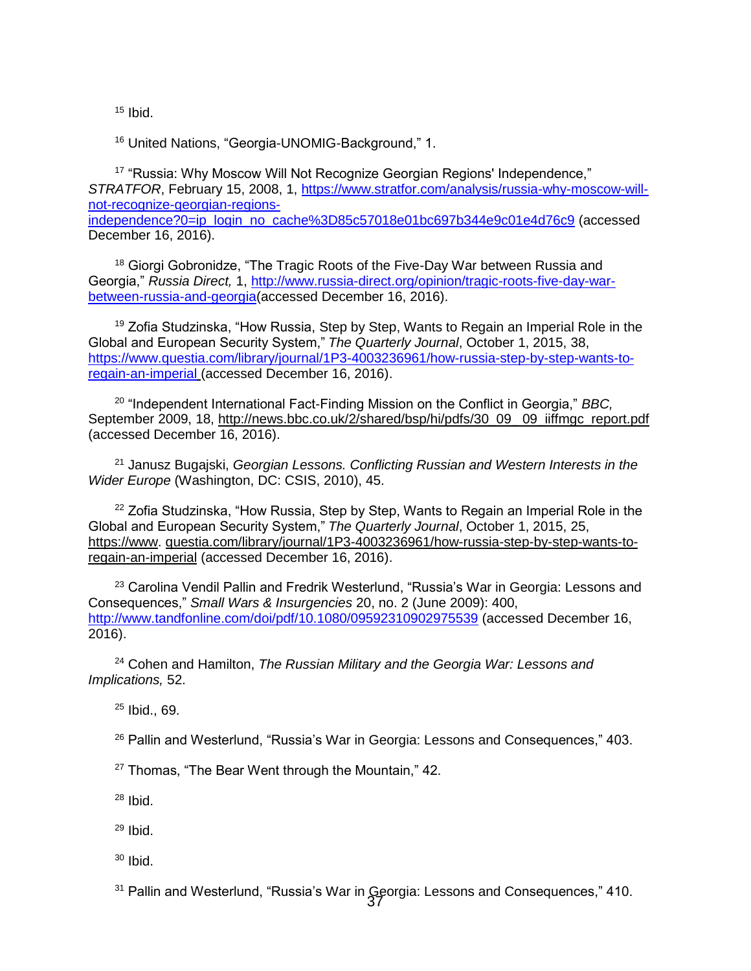$15$  Ibid.

<sup>16</sup> United Nations, "Georgia-UNOMIG-Background," 1.

<sup>17</sup> "Russia: Why Moscow Will Not Recognize Georgian Regions' Independence," *STRATFOR*, February 15, 2008, 1, [https://www.stratfor.com/analysis/russia-why-moscow-will](https://www.stratfor.com/analysis/russia-why-moscow-will-not-recognize-georgian-regions-independence?0=ip_login_no_cache%3D85c57018e01bc697b344e9c01e4d76c9)[not-recognize-georgian-regions](https://www.stratfor.com/analysis/russia-why-moscow-will-not-recognize-georgian-regions-independence?0=ip_login_no_cache%3D85c57018e01bc697b344e9c01e4d76c9)[independence?0=ip\\_login\\_no\\_cache%3D85c57018e01bc697b344e9c01e4d76c9](https://www.stratfor.com/analysis/russia-why-moscow-will-not-recognize-georgian-regions-independence?0=ip_login_no_cache%3D85c57018e01bc697b344e9c01e4d76c9) (accessed December 16, 2016).

<sup>18</sup> Giorgi Gobronidze, "The Tragic Roots of the Five-Day War between Russia and Georgia," *Russia Direct,* 1, [http://www.russia-direct.org/opinion/tragic-roots-five-day-war](http://www.russia-direct.org/opinion/tragic-roots-five-day-war-between-russia-and-georgia)[between-russia-and-georgia\(](http://www.russia-direct.org/opinion/tragic-roots-five-day-war-between-russia-and-georgia)accessed December 16, 2016).

<sup>19</sup> Zofia Studzinska, "How Russia, Step by Step, Wants to Regain an Imperial Role in the Global and European Security System," *The Quarterly Journal*, October 1, 2015, 38, [https://www.questia.com/library/journal/1P3-4003236961/how-russia-step-by-step-wants-to](https://www.questia.com/library/journal/1P3-4003236961/how-russia-step-by-step-wants-to-regain-an-imperial)[regain-an-imperial](https://www.questia.com/library/journal/1P3-4003236961/how-russia-step-by-step-wants-to-regain-an-imperial) (accessed December 16, 2016).

<sup>20</sup> "Independent International Fact-Finding Mission on the Conflict in Georgia," *BBC,*  September 2009, 18, [http://news.bbc.co.uk/2/shared/bsp/hi/pdfs/30\\_09\\_ 09\\_iiffmgc\\_report.pdf](http://news.bbc.co.uk/2/shared/bsp/hi/pdfs/30_09_09_iiffmgc_report.pdf) (accessed December 16, 2016).

<sup>21</sup> Janusz Bugajski, *Georgian Lessons. Conflicting Russian and Western Interests in the Wider Europe* (Washington, DC: CSIS, 2010), 45.

<sup>22</sup> Zofia Studzinska, "How Russia, Step by Step, Wants to Regain an Imperial Role in the Global and European Security System," *The Quarterly Journal*, October 1, 2015, 25, [https://www.](https://www/) questia.com/library/journal/1P3-4003236961/how-russia-step-by-step-wants-toregain-an-imperial (accessed December 16, 2016).

<sup>23</sup> Carolina Vendil Pallin and Fredrik Westerlund, "Russia's War in Georgia: Lessons and Consequences," *Small Wars & Insurgencies* 20, no. 2 (June 2009): 400, <http://www.tandfonline.com/doi/pdf/10.1080/09592310902975539> (accessed December 16, 2016).

<sup>24</sup> Cohen and Hamilton, *The Russian Military and the Georgia War: Lessons and Implications,* 52.

 $25$  Ibid., 69.

<sup>26</sup> Pallin and Westerlund, "Russia's War in Georgia: Lessons and Consequences," 403.

<sup>27</sup> Thomas, "The Bear Went through the Mountain," 42.

 $28$  Ibid.

<sup>29</sup> Ibid.

 $30$  Ibid.

<sup>31</sup> Pallin and Westerlund, "Russia's War in Georgia: Lessons and Consequences," 410.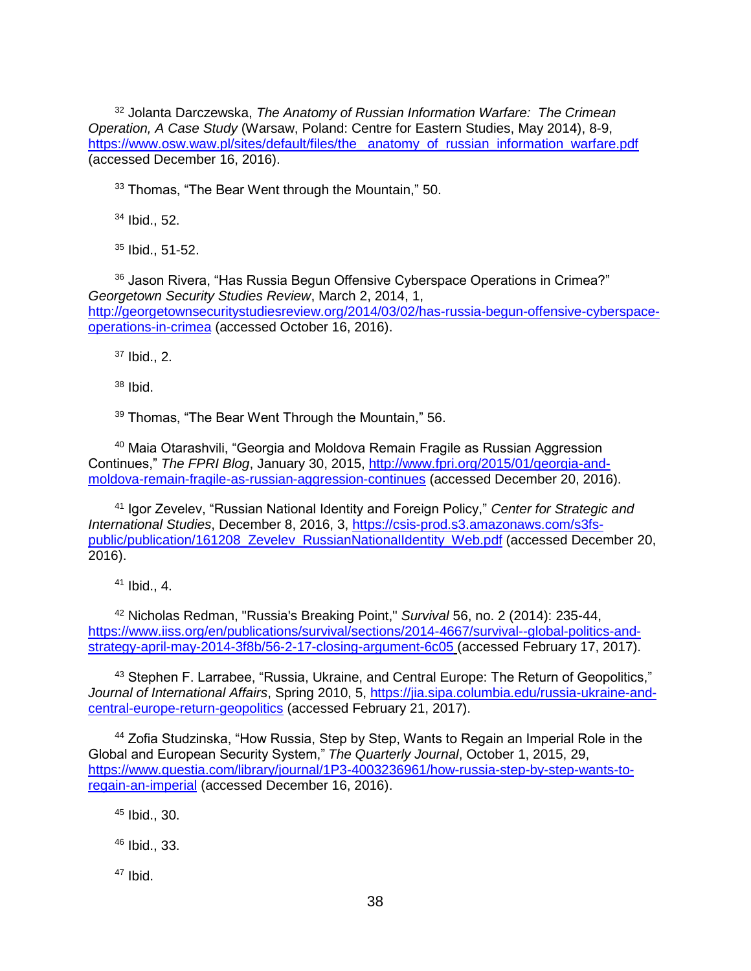<sup>32</sup> Jolanta Darczewska, *The Anatomy of Russian Information Warfare: The Crimean Operation, A Case Study* (Warsaw, Poland: Centre for Eastern Studies, May 2014), 8-9, [https://www.osw.waw.pl/sites/default/files/the\\_ anatomy\\_of\\_russian\\_information\\_warfare.pdf](https://www.osw.waw.pl/sites/default/files/the_%20anatomy_of_russian_information_warfare.pdf) (accessed December 16, 2016).

<sup>33</sup> Thomas, "The Bear Went through the Mountain," 50.

<sup>34</sup> Ibid., 52.

<sup>35</sup> Ibid., 51-52.

<sup>36</sup> Jason Rivera, "Has Russia Begun Offensive Cyberspace Operations in Crimea?" *Georgetown Security Studies Review*, March 2, 2014, 1, [http://georgetownsecuritystudiesreview.org/2014/03/02/has-russia-begun-offensive-cyberspace](http://georgetownsecuritystudiesreview.org/2014/03/02/has-russia-begun-offensive-cyberspace-operations-in-crimea)[operations-in-crimea](http://georgetownsecuritystudiesreview.org/2014/03/02/has-russia-begun-offensive-cyberspace-operations-in-crimea) (accessed October 16, 2016).

 $37$  Ibid., 2.

 $38$  Ibid.

<sup>39</sup> Thomas, "The Bear Went Through the Mountain," 56.

<sup>40</sup> Maia Otarashvili, "Georgia and Moldova Remain Fragile as Russian Aggression Continues," *The FPRI Blog*, January 30, 2015, [http://www.fpri.org/2015/01/georgia-and](http://www.fpri.org/2015/01/georgia-and-moldova-remain-fragile-as-russian-aggression-continues)[moldova-remain-fragile-as-russian-aggression-continues](http://www.fpri.org/2015/01/georgia-and-moldova-remain-fragile-as-russian-aggression-continues) (accessed December 20, 2016).

<sup>41</sup> Igor Zevelev, "Russian National Identity and Foreign Policy," *Center for Strategic and International Studies*, December 8, 2016, 3, [https://csis-prod.s3.amazonaws.com/s3fs](https://csis-prod.s3.amazonaws.com/s3fs-public/publication/161208_Zevelev_RussianNationalIdentity_Web.pdf)[public/publication/161208\\_Zevelev\\_RussianNationalIdentity\\_Web.pdf](https://csis-prod.s3.amazonaws.com/s3fs-public/publication/161208_Zevelev_RussianNationalIdentity_Web.pdf) (accessed December 20, 2016).

 $41$  Ibid., 4.

<sup>42</sup> Nicholas Redman, "Russia's Breaking Point," *Survival* 56, no. 2 (2014): 235-44, [https://www.iiss.org/en/publications/survival/sections/2014-4667/survival--global-politics-and](https://www.iiss.org/en/publications/survival/sections/2014-4667/survival--global-politics-and-strategy-april-may-2014-3f8b/56-2-17-closing-argument-6c05)[strategy-april-may-2014-3f8b/56-2-17-closing-argument-6c05](https://www.iiss.org/en/publications/survival/sections/2014-4667/survival--global-politics-and-strategy-april-may-2014-3f8b/56-2-17-closing-argument-6c05) (accessed February 17, 2017).

43 Stephen F. Larrabee, "Russia, Ukraine, and Central Europe: The Return of Geopolitics," *Journal of International Affairs*, Spring 2010, 5, [https://jia.sipa.columbia.edu/russia-ukraine-and](https://jia.sipa.columbia.edu/russia-ukraine-and-central-europe-return-geopolitics)[central-europe-return-geopolitics](https://jia.sipa.columbia.edu/russia-ukraine-and-central-europe-return-geopolitics) (accessed February 21, 2017).

<sup>44</sup> Zofia Studzinska, "How Russia, Step by Step, Wants to Regain an Imperial Role in the Global and European Security System," *The Quarterly Journal*, October 1, 2015, 29, [https://www.questia.com/library/journal/1P3-4003236961/how-russia-step-by-step-wants-to](https://www.questia.com/library/journal/1P3-4003236961/how-russia-step-by-step-wants-to-regain-an-imperial)[regain-an-imperial](https://www.questia.com/library/journal/1P3-4003236961/how-russia-step-by-step-wants-to-regain-an-imperial) (accessed December 16, 2016).

<sup>45</sup> Ibid., 30.

<sup>46</sup> Ibid., 33.

 $47$  Ibid.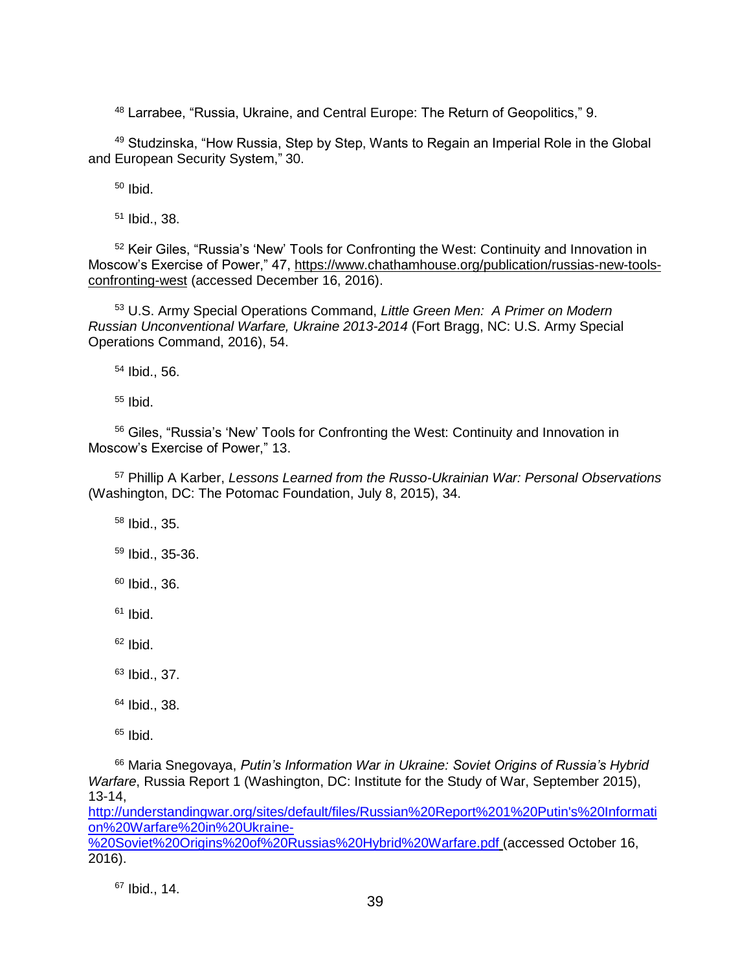<sup>48</sup> Larrabee, "Russia, Ukraine, and Central Europe: The Return of Geopolitics," 9.

<sup>49</sup> Studzinska, "How Russia, Step by Step, Wants to Regain an Imperial Role in the Global and European Security System," 30.

 $50$  Ibid.

<sup>51</sup> Ibid., 38.

<sup>52</sup> Keir Giles, "Russia's 'New' Tools for Confronting the West: Continuity and Innovation in Moscow's Exercise of Power," 47, [https://www.chathamhouse.org/publication/russias-new-tools](https://www.chathamhouse.org/publication/russias-new-tools-confronting-west)[confronting-west](https://www.chathamhouse.org/publication/russias-new-tools-confronting-west) (accessed December 16, 2016).

<sup>53</sup> U.S. Army Special Operations Command, *Little Green Men: A Primer on Modern Russian Unconventional Warfare, Ukraine 2013-2014* (Fort Bragg, NC: U.S. Army Special Operations Command, 2016), 54.

<sup>54</sup> Ibid., 56.

 $55$  Ibid.

<sup>56</sup> Giles, "Russia's 'New' Tools for Confronting the West: Continuity and Innovation in Moscow's Exercise of Power," 13.

<sup>57</sup> Phillip A Karber, *Lessons Learned from the Russo-Ukrainian War: Personal Observations* (Washington, DC: The Potomac Foundation, July 8, 2015), 34.

<sup>58</sup> Ibid., 35.

<sup>59</sup> Ibid., 35-36.

 $60$  Ibid., 36.

 $61$  Ibid.

 $62$  Ibid.

<sup>63</sup> Ibid., 37.

<sup>64</sup> Ibid., 38.

 $65$  Ibid.

<sup>66</sup> Maria Snegovaya, *Putin's Information War in Ukraine: Soviet Origins of Russia's Hybrid Warfare*, Russia Report 1 (Washington, DC: Institute for the Study of War, September 2015), 13-14,

[http://understandingwar.org/sites/default/files/Russian%20Report%201%20Putin's%20Informati](http://understandingwar.org/sites/default/files/Russian%20Report%201%20Putin) [on%20Warfare%20in%20Ukraine-](http://understandingwar.org/sites/default/files/Russian%20Report%201%20Putin) [%20Soviet%20Origins%20of%20Russias%20Hybrid%20Warfare.pdf](http://understandingwar.org/sites/default/files/Russian%20Report%201%20Putin) (accessed October 16,

2016).

<sup>67</sup> Ibid., 14.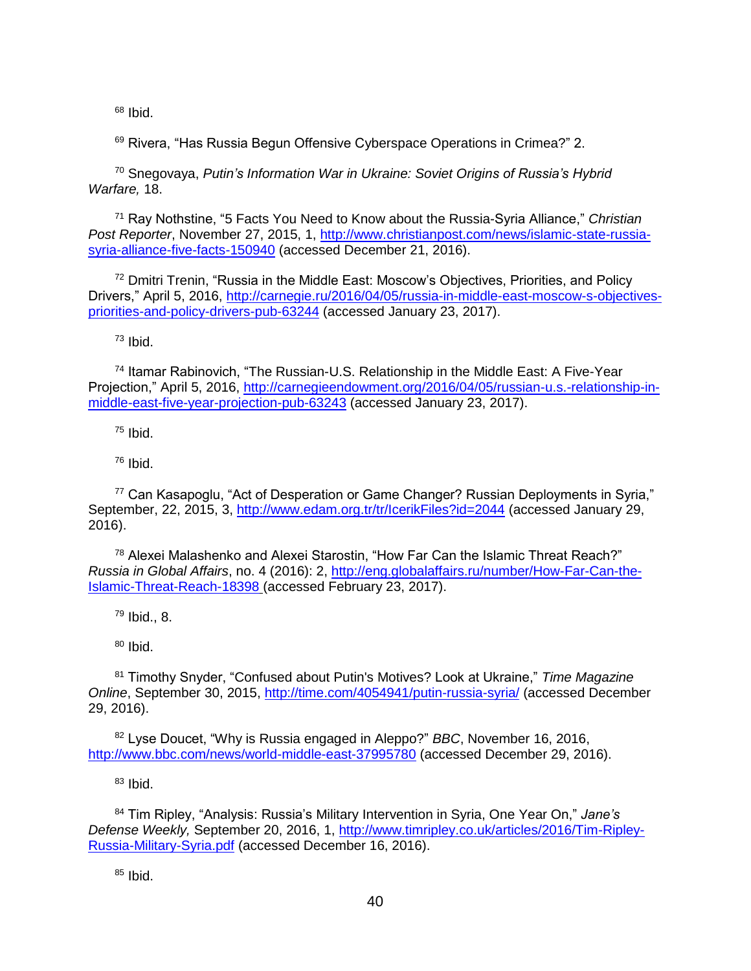$68$  Ibid.

<sup>69</sup> Rivera, "Has Russia Begun Offensive Cyberspace Operations in Crimea?" 2.

<sup>70</sup> Snegovaya, *Putin's Information War in Ukraine: Soviet Origins of Russia's Hybrid Warfare,* 18.

<sup>71</sup> Ray Nothstine, "5 Facts You Need to Know about the Russia-Syria Alliance," *Christian Post Reporter*, November 27, 2015, 1, [http://www.christianpost.com/news/islamic-state-russia](http://www.christianpost.com/news/islamic-state-russia-syria-alliance-five-facts-150940)[syria-alliance-five-facts-150940](http://www.christianpost.com/news/islamic-state-russia-syria-alliance-five-facts-150940) (accessed December 21, 2016).

<sup>72</sup> Dmitri Trenin, "Russia in the Middle East: Moscow's Objectives, Priorities, and Policy Drivers," April 5, 2016, [http://carnegie.ru/2016/04/05/russia-in-middle-east-moscow-s-objectives](http://carnegie.ru/2016/04/05/russia-in-middle-east-moscow-s-objectives-priorities-and-policy-drivers-pub-63244)[priorities-and-policy-drivers-pub-63244](http://carnegie.ru/2016/04/05/russia-in-middle-east-moscow-s-objectives-priorities-and-policy-drivers-pub-63244) (accessed January 23, 2017).

<sup>73</sup> Ibid.

<sup>74</sup> Itamar Rabinovich, "The Russian-U.S. Relationship in the Middle East: A Five-Year Projection," April 5, 2016, [http://carnegieendowment.org/2016/04/05/russian-u.s.-relationship-in](http://carnegieendowment.org/2016/04/05/russian-u.s.-relationship-in-middle-east-five-year-projection-pub-63243)[middle-east-five-year-projection-pub-63243](http://carnegieendowment.org/2016/04/05/russian-u.s.-relationship-in-middle-east-five-year-projection-pub-63243) (accessed January 23, 2017).

 $75$  Ibid.

 $76$  Ibid.

<sup>77</sup> Can Kasapoglu, "Act of Desperation or Game Changer? Russian Deployments in Syria," September, 22, 2015, 3,<http://www.edam.org.tr/tr/IcerikFiles?id=2044> (accessed January 29, 2016).

<sup>78</sup> Alexei Malashenko and Alexei Starostin, "How Far Can the Islamic Threat Reach?" *Russia in Global Affairs*, no. 4 (2016): 2, [http://eng.globalaffairs.ru/number/How-Far-Can-the-](http://eng.globalaffairs.ru/number/How-Far-Can-the-Islamic-Threat-Reach-18398)[Islamic-Threat-Reach-18398](http://eng.globalaffairs.ru/number/How-Far-Can-the-Islamic-Threat-Reach-18398) (accessed February 23, 2017).

 $79$  Ibid., 8.

 $80$  Ibid.

<sup>81</sup> Timothy Snyder, "Confused about Putin's Motives? Look at Ukraine," *Time Magazine Online*, September 30, 2015,<http://time.com/4054941/putin-russia-syria/> (accessed December 29, 2016).

<sup>82</sup> Lyse Doucet, "Why is Russia engaged in Aleppo?" *BBC*, November 16, 2016, <http://www.bbc.com/news/world-middle-east-37995780> (accessed December 29, 2016).

 $83$  Ibid.

<sup>84</sup> Tim Ripley, "Analysis: Russia's Military Intervention in Syria, One Year On," *Jane's Defense Weekly,* September 20, 2016, 1, [http://www.timripley.co.uk/articles/2016/Tim-Ripley-](http://www.timripley.co.uk/articles/2016/Tim-Ripley-Russia-Military-Syria.pdf)[Russia-Military-Syria.pdf](http://www.timripley.co.uk/articles/2016/Tim-Ripley-Russia-Military-Syria.pdf) (accessed December 16, 2016).

 $85$  Ibid.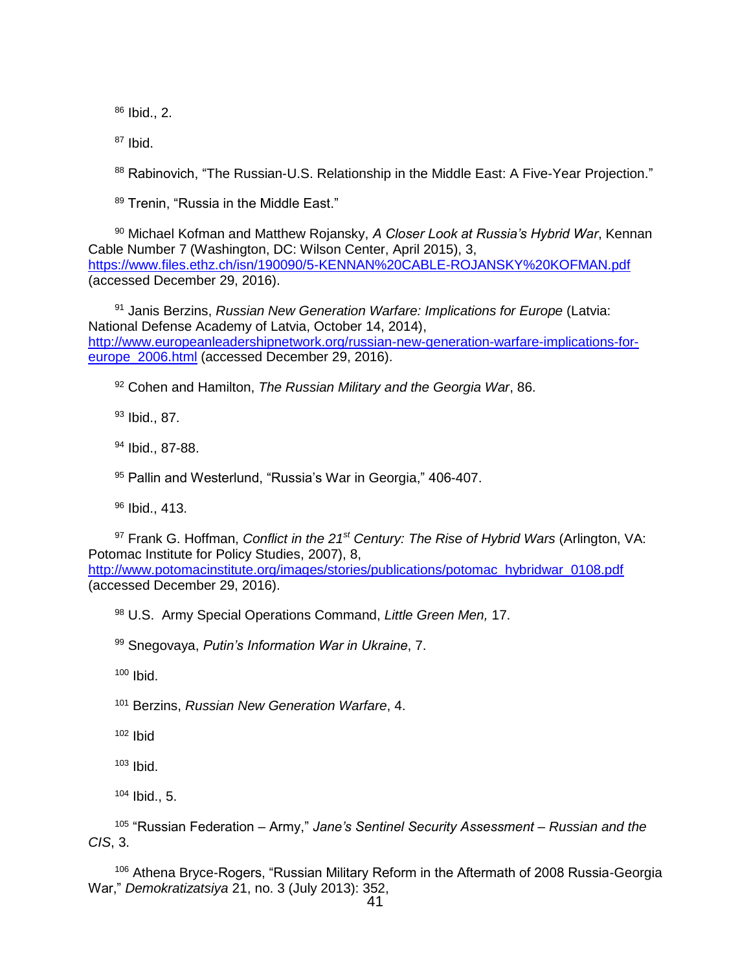<sup>86</sup> Ibid., 2.

 $87$  Ibid.

88 Rabinovich, "The Russian-U.S. Relationship in the Middle East: A Five-Year Projection."

89 Trenin, "Russia in the Middle East."

<sup>90</sup> Michael Kofman and Matthew Rojansky, *A Closer Look at Russia's Hybrid War*, Kennan Cable Number 7 (Washington, DC: Wilson Center, April 2015), 3, <https://www.files.ethz.ch/isn/190090/5-KENNAN%20CABLE-ROJANSKY%20KOFMAN.pdf> (accessed December 29, 2016).

<sup>91</sup> Janis Berzins, *Russian New Generation Warfare: Implications for Europe* (Latvia: National Defense Academy of Latvia, October 14, 2014), [http://www.europeanleadershipnetwork.org/russian-new-generation-warfare-implications-for](http://www.europeanleadershipnetwork.org/russian-new-generation-warfare-implications-for-europe_2006.html)[europe\\_2006.html](http://www.europeanleadershipnetwork.org/russian-new-generation-warfare-implications-for-europe_2006.html) (accessed December 29, 2016).

<sup>92</sup> Cohen and Hamilton, *The Russian Military and the Georgia War*, 86.

93 Ibid., 87.

<sup>94</sup> Ibid., 87-88.

<sup>95</sup> Pallin and Westerlund, "Russia's War in Georgia," 406-407.

<sup>96</sup> Ibid., 413.

<sup>97</sup> Frank G. Hoffman, *Conflict in the 21st Century: The Rise of Hybrid Wars* (Arlington, VA: Potomac Institute for Policy Studies, 2007), 8, [http://www.potomacinstitute.org/images/stories/publications/potomac\\_hybridwar\\_0108.pdf](http://www.potomacinstitute.org/images/stories/publications/potomac_hybridwar_0108.pdf) (accessed December 29, 2016).

<sup>98</sup> U.S. Army Special Operations Command, *Little Green Men,* 17.

<sup>99</sup> Snegovaya, *Putin's Information War in Ukraine*, 7.

 $100$  Ibid.

<sup>101</sup> Berzins, *Russian New Generation Warfare*, 4.

 $102$  Ibid

 $103$  Ibid.

 $104$  Ibid., 5.

<sup>105</sup> "Russian Federation – Army," *Jane's Sentinel Security Assessment – Russian and the CIS*, 3.

<sup>106</sup> Athena Bryce-Rogers, "Russian Military Reform in the Aftermath of 2008 Russia-Georgia War," *Demokratizatsiya* 21, no. 3 (July 2013): 352,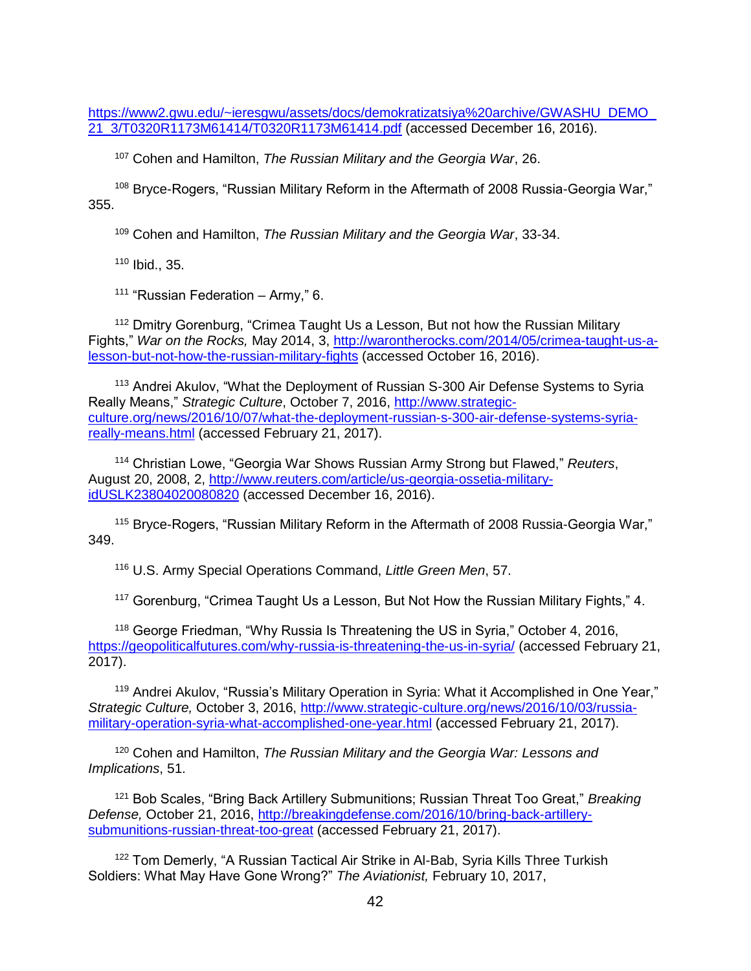https://www2.gwu.edu/~ieresgwu/assets/docs/demokratizatsiya%20archive/GWASHU\_DEMO [21\\_3/T0320R1173M61414/T0320R1173M61414.pdf](https://www2.gwu.edu/~ieresgwu/assets/docs/demokratizatsiya%20archive/GWASHU_DEMO_21_3/T0320R1173M61414/T0320R1173M61414.pdf) (accessed December 16, 2016).

<sup>107</sup> Cohen and Hamilton, *The Russian Military and the Georgia War*, 26.

<sup>108</sup> Bryce-Rogers, "Russian Military Reform in the Aftermath of 2008 Russia-Georgia War," 355.

<sup>109</sup> Cohen and Hamilton, *The Russian Military and the Georgia War*, 33-34.

<sup>110</sup> Ibid., 35.

 $111$  "Russian Federation – Army." 6.

<sup>112</sup> Dmitry Gorenburg, "Crimea Taught Us a Lesson, But not how the Russian Military Fights," *War on the Rocks,* May 2014, 3, [http://warontherocks.com/2014/05/crimea-taught-us-a](http://warontherocks.com/2014/05/crimea-taught-us-a-lesson-but-not-how-the-russian-military-fights)[lesson-but-not-how-the-russian-military-fights](http://warontherocks.com/2014/05/crimea-taught-us-a-lesson-but-not-how-the-russian-military-fights) (accessed October 16, 2016).

<sup>113</sup> Andrei Akulov, "What the Deployment of Russian S-300 Air Defense Systems to Syria Really Means," *Strategic Culture*, October 7, 2016, [http://www.strategic](http://www.strategic-culture.org/news/2016/10/07/what-the-deployment-russian-s-300-air-defense-systems-syria-really-means.html)[culture.org/news/2016/10/07/what-the-deployment-russian-s-300-air-defense-systems-syria](http://www.strategic-culture.org/news/2016/10/07/what-the-deployment-russian-s-300-air-defense-systems-syria-really-means.html)[really-means.html](http://www.strategic-culture.org/news/2016/10/07/what-the-deployment-russian-s-300-air-defense-systems-syria-really-means.html) (accessed February 21, 2017).

<sup>114</sup> Christian Lowe, "Georgia War Shows Russian Army Strong but Flawed," *Reuters*, August 20, 2008, 2, [http://www.reuters.com/article/us-georgia-ossetia-military](http://www.reuters.com/article/us-georgia-ossetia-military-idUSLK23804020080820)[idUSLK23804020080820](http://www.reuters.com/article/us-georgia-ossetia-military-idUSLK23804020080820) (accessed December 16, 2016).

<sup>115</sup> Bryce-Rogers, "Russian Military Reform in the Aftermath of 2008 Russia-Georgia War," 349.

<sup>116</sup> U.S. Army Special Operations Command, *Little Green Men*, 57.

<sup>117</sup> Gorenburg, "Crimea Taught Us a Lesson, But Not How the Russian Military Fights," 4.

<sup>118</sup> George Friedman, "Why Russia Is Threatening the US in Syria," October 4, 2016, <https://geopoliticalfutures.com/why-russia-is-threatening-the-us-in-syria/> (accessed February 21, 2017).

<sup>119</sup> [Andrei Akulov,](http://www.strategic-culture.org/authors/andrei-akulov.html) "Russia's Military Operation in Syria: What it Accomplished in One Year," *Strategic Culture,* October 3, 2016, [http://www.strategic-culture.org/news/2016/10/03/russia](http://www.strategic-culture.org/news/2016/10/03/russia-military-operation-syria-what-accomplished-one-year.html)[military-operation-syria-what-accomplished-one-year.html](http://www.strategic-culture.org/news/2016/10/03/russia-military-operation-syria-what-accomplished-one-year.html) (accessed February 21, 2017).

<sup>120</sup> Cohen and Hamilton, *The Russian Military and the Georgia War: Lessons and Implications*, 51.

<sup>121</sup> Bob Scales, "Bring Back Artillery Submunitions; Russian Threat Too Great," *Breaking Defense,* October 21, 2016, [http://breakingdefense.com/2016/10/bring-back-artillery](http://breakingdefense.com/2016/10/bring-back-artillery-submunitions-russian-threat-too-great)[submunitions-russian-threat-too-great](http://breakingdefense.com/2016/10/bring-back-artillery-submunitions-russian-threat-too-great) (accessed February 21, 2017).

<sup>122</sup> Tom Demerly, "A Russian Tactical Air Strike in Al-Bab, Syria Kills Three Turkish Soldiers: What May Have Gone Wrong?" *The Aviationist,* February 10, 2017,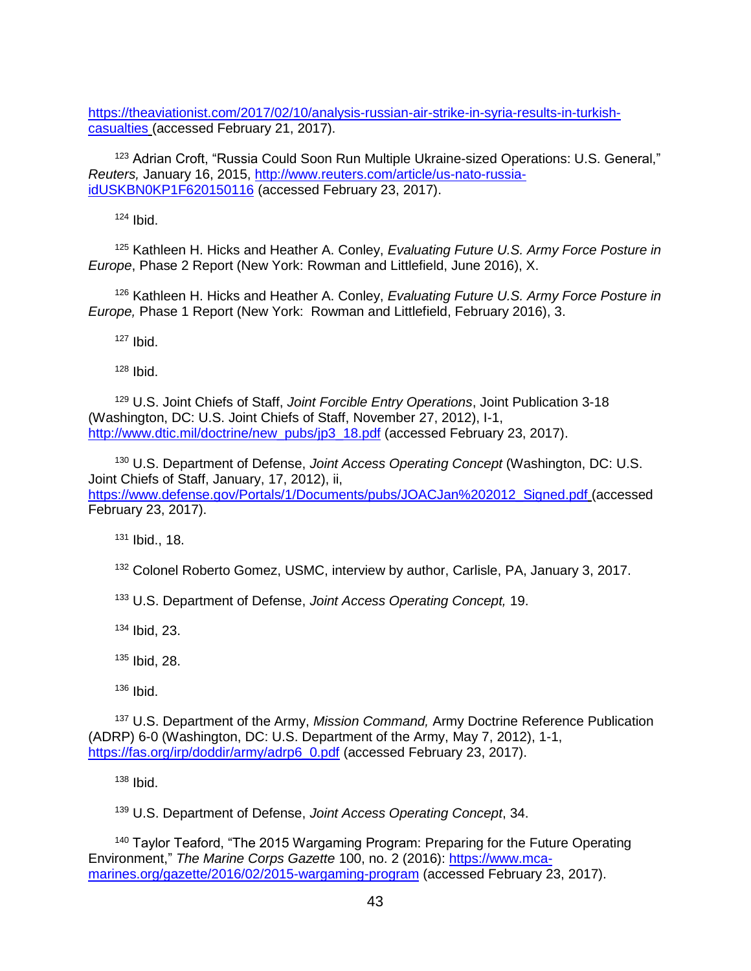[https://theaviationist.com/2017/02/10/analysis-russian-air-strike-in-syria-results-in-turkish](https://theaviationist.com/2017/02/10/analysis-russian-air-strike-in-syria-results-in-turkish-casualties)[casualties](https://theaviationist.com/2017/02/10/analysis-russian-air-strike-in-syria-results-in-turkish-casualties) (accessed February 21, 2017).

<sup>123</sup> Adrian Croft, "Russia Could Soon Run Multiple Ukraine-sized Operations: U.S. General," *Reuters,* January 16, 2015, [http://www.reuters.com/article/us-nato-russia](http://www.reuters.com/article/us-nato-russia-idUSKBN0KP1F620150116)[idUSKBN0KP1F620150116](http://www.reuters.com/article/us-nato-russia-idUSKBN0KP1F620150116) (accessed February 23, 2017).

 $124$  Ibid.

<sup>125</sup> Kathleen H. Hicks and Heather A. Conley, *Evaluating Future U.S. Army Force Posture in Europe*, Phase 2 Report (New York: Rowman and Littlefield, June 2016), X.

<sup>126</sup> Kathleen H. Hicks and Heather A. Conley, *Evaluating Future U.S. Army Force Posture in Europe,* Phase 1 Report (New York: Rowman and Littlefield, February 2016), 3.

<sup>127</sup> Ibid.

 $128$  Ibid.

<sup>129</sup> U.S. Joint Chiefs of Staff, *Joint Forcible Entry Operations*, Joint Publication 3-18 (Washington, DC: U.S. Joint Chiefs of Staff, November 27, 2012), I-1, [http://www.dtic.mil/doctrine/new\\_pubs/jp3\\_18.pdf](http://www.dtic.mil/doctrine/new_pubs/jp3_18.pdf) (accessed February 23, 2017).

<sup>130</sup> U.S. Department of Defense, *Joint Access Operating Concept* (Washington, DC: U.S. Joint Chiefs of Staff, January, 17, 2012), ii, [https://www.defense.gov/Portals/1/Documents/pubs/JOACJan%202012\\_Signed.pdf](https://www.defense.gov/Portals/1/Documents/pubs/JOACJan%202012_Signed.pdf) (accessed February 23, 2017).

<sup>131</sup> Ibid., 18.

<sup>132</sup> Colonel Roberto Gomez, USMC, interview by author, Carlisle, PA, January 3, 2017.

<sup>133</sup> U.S. Department of Defense, *Joint Access Operating Concept,* 19.

<sup>134</sup> Ibid, 23.

<sup>135</sup> Ibid, 28.

 $136$  Ibid.

<sup>137</sup> U.S. Department of the Army, *Mission Command,* Army Doctrine Reference Publication (ADRP) 6-0 (Washington, DC: U.S. Department of the Army, May 7, 2012), 1-1, [https://fas.org/irp/doddir/army/adrp6\\_0.pdf](https://fas.org/irp/doddir/army/adrp6_0.pdf) (accessed February 23, 2017).

 $138$  Ibid.

<sup>139</sup> U.S. Department of Defense, *Joint Access Operating Concept*, 34.

<sup>140</sup> Taylor Teaford, "The 2015 Wargaming Program: Preparing for the Future Operating Environment," *The Marine Corps Gazette* 100, no. 2 (2016): [https://www.mca](https://www.mca-marines.org/gazette/2016/02/2015-wargaming-program)[marines.org/gazette/2016/02/2015-wargaming-program](https://www.mca-marines.org/gazette/2016/02/2015-wargaming-program) (accessed February 23, 2017).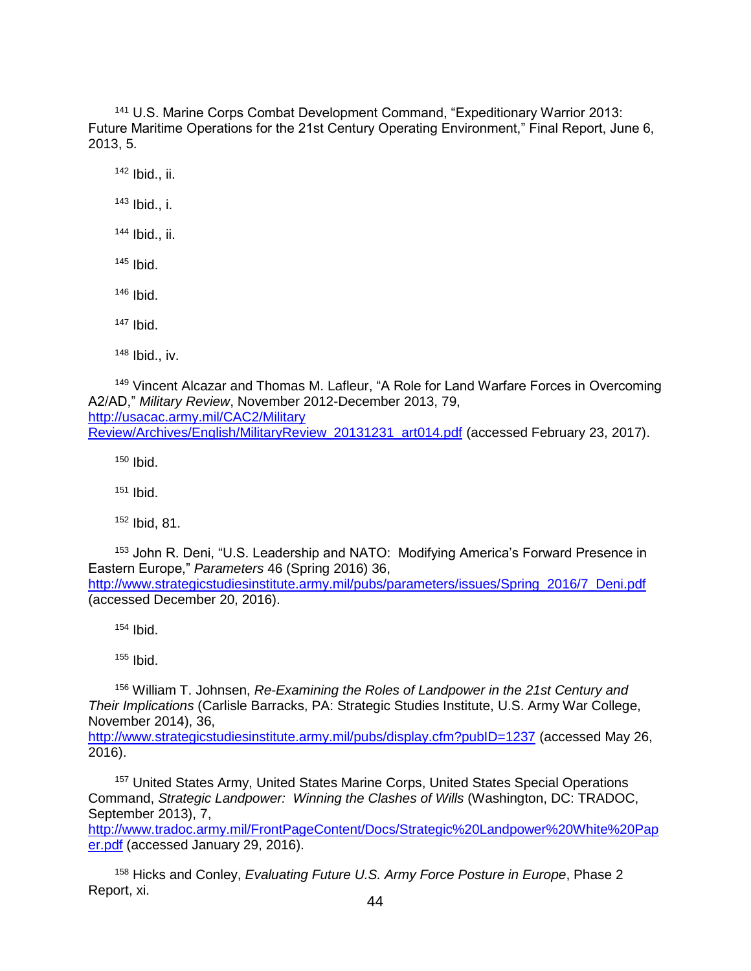<sup>141</sup> U.S. Marine Corps Combat Development Command, "Expeditionary Warrior 2013: Future Maritime Operations for the 21st Century Operating Environment," Final Report, June 6, 2013, 5.

<sup>142</sup> Ibid., ii.

<sup>143</sup> Ibid., i.

<sup>144</sup> Ibid., ii.

 $145$  Ibid.

 $146$  Ibid.

<sup>147</sup> Ibid.

 $148$  Ibid., iv.

<sup>149</sup> Vincent Alcazar and Thomas M. Lafleur, "A Role for Land Warfare Forces in Overcoming A2/AD," *Military Review*, November 2012-December 2013, 79, [http://usacac.army.mil/CAC2/Military](http://usacac.army.mil/CAC2/Military%20Review/Archives/English/MilitaryReview_20131231_art014.pdf) [Review/Archives/English/MilitaryReview\\_20131231\\_art014.pdf](http://usacac.army.mil/CAC2/Military%20Review/Archives/English/MilitaryReview_20131231_art014.pdf) (accessed February 23, 2017).

 $150$  Ibid.

 $151$  Ibid.

<sup>152</sup> Ibid, 81.

<sup>153</sup> John R. Deni, "U.S. Leadership and NATO: Modifying America's Forward Presence in Eastern Europe," *Parameters* 46 (Spring 2016) 36, [http://www.strategicstudiesinstitute.army.mil/pubs/parameters/issues/Spring\\_2016/7\\_Deni.pdf](http://www.strategicstudiesinstitute.army.mil/pubs/parameters/issues/Spring_2016/7_Deni.pdf)

(accessed December 20, 2016).

 $154$  Ibid.

<sup>155</sup> Ibid.

<sup>156</sup> William T. Johnsen, *Re-Examining the Roles of Landpower in the 21st Century and Their Implications* (Carlisle Barracks, PA: Strategic Studies Institute, U.S. Army War College, November 2014), 36,

<http://www.strategicstudiesinstitute.army.mil/pubs/display.cfm?pubID=1237> (accessed May 26, 2016).

<sup>157</sup> United States Army, United States Marine Corps, United States Special Operations Command, *Strategic Landpower: Winning the Clashes of Wills* (Washington, DC: TRADOC, September 2013), 7,

[http://www.tradoc.army.mil/FrontPageContent/Docs/Strategic%20Landpower%20White%20Pap](http://www.tradoc.army.mil/FrontPageContent/Docs/Strategic%20Landpower%20White%20Paper.pdf) [er.pdf](http://www.tradoc.army.mil/FrontPageContent/Docs/Strategic%20Landpower%20White%20Paper.pdf) (accessed January 29, 2016).

<sup>158</sup> Hicks and Conley, *Evaluating Future U.S. Army Force Posture in Europe*, Phase 2 Report, xi.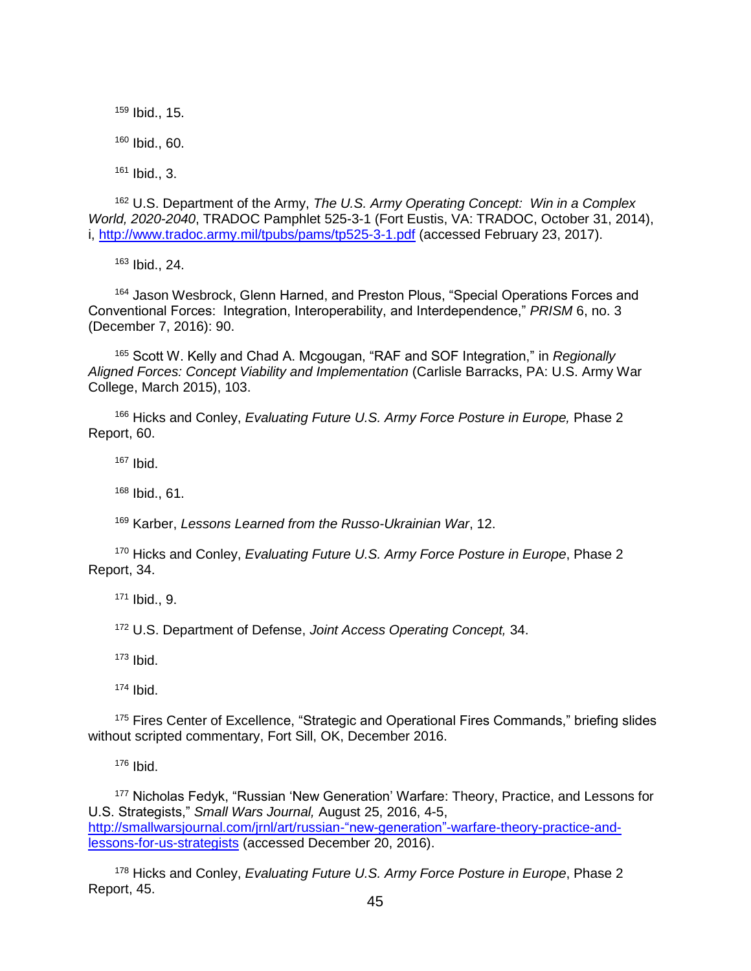<sup>159</sup> Ibid., 15.  $160$  Ibid., 60.  $161$  Ibid., 3.

<sup>162</sup> U.S. Department of the Army, *The U.S. Army Operating Concept: Win in a Complex World, 2020-2040*, TRADOC Pamphlet 525-3-1 (Fort Eustis, VA: TRADOC, October 31, 2014), i, <http://www.tradoc.army.mil/tpubs/pams/tp525-3-1.pdf> (accessed February 23, 2017).

<sup>163</sup> Ibid., 24.

<sup>164</sup> Jason Wesbrock, Glenn Harned, and Preston Plous, "Special Operations Forces and Conventional Forces: Integration, Interoperability, and Interdependence," *PRISM* 6, no. 3 (December 7, 2016): 90.

<sup>165</sup> Scott W. Kelly and Chad A. Mcgougan, "RAF and SOF Integration," in *Regionally Aligned Forces: Concept Viability and Implementation* (Carlisle Barracks, PA: U.S. Army War College, March 2015), 103.

<sup>166</sup> Hicks and Conley, *Evaluating Future U.S. Army Force Posture in Europe,* Phase 2 Report, 60.

 $167$  Ibid.

<sup>168</sup> Ibid., 61.

<sup>169</sup> Karber, *Lessons Learned from the Russo-Ukrainian War*, 12.

<sup>170</sup> Hicks and Conley, *Evaluating Future U.S. Army Force Posture in Europe*, Phase 2 Report, 34.

<sup>171</sup> Ibid., 9.

<sup>172</sup> U.S. Department of Defense, *Joint Access Operating Concept,* 34.

<sup>173</sup> Ibid.

 $174$  Ibid.

<sup>175</sup> Fires Center of Excellence, "Strategic and Operational Fires Commands," briefing slides without scripted commentary, Fort Sill, OK, December 2016.

<sup>176</sup> Ibid.

<sup>177</sup> Nicholas Fedyk, "Russian 'New Generation' Warfare: Theory, Practice, and Lessons for U.S. Strategists," *Small Wars Journal,* August 25, 2016, 4-5, [http://smallwarsjournal.com/jrnl/art/russian-"new-generation"-warfare-theory-practice-and](http://smallwarsjournal.com/jrnl/art/russian-)[lessons-for-us-strategists](http://smallwarsjournal.com/jrnl/art/russian-) (accessed December 20, 2016).

<sup>178</sup> Hicks and Conley, *Evaluating Future U.S. Army Force Posture in Europe*, Phase 2 Report, 45.